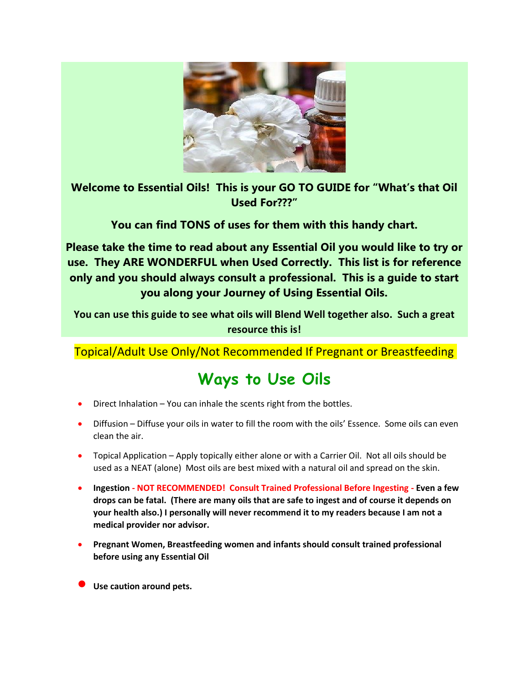

**Welcome to Essential Oils! This is your GO TO GUIDE for "What's that Oil Used For???"**

**You can find TONS of uses for them with this handy chart.** 

**Please take the time to read about any Essential Oil you would like to try or use. They ARE WONDERFUL when Used Correctly. This list is for reference only and you should always consult a professional. This is a guide to start you along your Journey of Using Essential Oils.** 

**You can use this guide to see what oils will Blend Well together also. Such a great resource this is!** 

Topical/Adult Use Only/Not Recommended If Pregnant or Breastfeeding

## **Ways to Use Oils**

- Direct Inhalation You can inhale the scents right from the bottles.
- Diffusion Diffuse your oils in water to fill the room with the oils' Essence. Some oils can even clean the air.
- Topical Application Apply topically either alone or with a Carrier Oil. Not all oils should be used as a NEAT (alone) Most oils are best mixed with a natural oil and spread on the skin.
- **Ingestion - NOT RECOMMENDED! Consult Trained Professional Before Ingesting - Even a few drops can be fatal. (There are many oils that are safe to ingest and of course it depends on your health also.) I personally will never recommend it to my readers because I am not a medical provider nor advisor.**
- **Pregnant Women, Breastfeeding women and infants should consult trained professional before using any Essential Oil**
- **Use caution around pets.**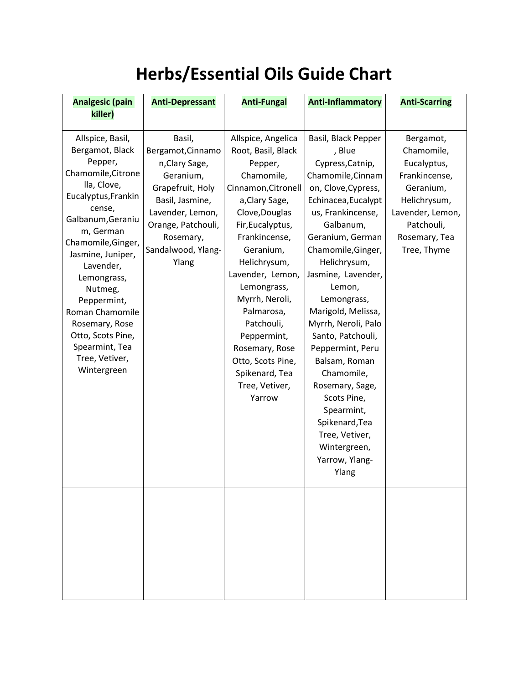## **Herbs/Essential Oils Guide Chart**

| <b>Analgesic (pain</b>                                                                                                                                                                                                                                                                                                                                               | <b>Anti-Depressant</b>                                                                                                                                                                  | <b>Anti-Fungal</b>                                                                                                                                                                                                                                                                                                                                                                  | <b>Anti-Inflammatory</b>                                                                                                                                                                                                                                                                                                                                                                                                                                                                                            | <b>Anti-Scarring</b>                                                                                                                                   |
|----------------------------------------------------------------------------------------------------------------------------------------------------------------------------------------------------------------------------------------------------------------------------------------------------------------------------------------------------------------------|-----------------------------------------------------------------------------------------------------------------------------------------------------------------------------------------|-------------------------------------------------------------------------------------------------------------------------------------------------------------------------------------------------------------------------------------------------------------------------------------------------------------------------------------------------------------------------------------|---------------------------------------------------------------------------------------------------------------------------------------------------------------------------------------------------------------------------------------------------------------------------------------------------------------------------------------------------------------------------------------------------------------------------------------------------------------------------------------------------------------------|--------------------------------------------------------------------------------------------------------------------------------------------------------|
| killer)                                                                                                                                                                                                                                                                                                                                                              |                                                                                                                                                                                         |                                                                                                                                                                                                                                                                                                                                                                                     |                                                                                                                                                                                                                                                                                                                                                                                                                                                                                                                     |                                                                                                                                                        |
| Allspice, Basil,<br>Bergamot, Black<br>Pepper,<br>Chamomile, Citrone<br>lla, Clove,<br>Eucalyptus, Frankin<br>cense,<br>Galbanum, Geraniu<br>m, German<br>Chamomile, Ginger,<br>Jasmine, Juniper,<br>Lavender,<br>Lemongrass,<br>Nutmeg,<br>Peppermint,<br>Roman Chamomile<br>Rosemary, Rose<br>Otto, Scots Pine,<br>Spearmint, Tea<br>Tree, Vetiver,<br>Wintergreen | Basil,<br>Bergamot, Cinnamo<br>n, Clary Sage,<br>Geranium,<br>Grapefruit, Holy<br>Basil, Jasmine,<br>Lavender, Lemon,<br>Orange, Patchouli,<br>Rosemary,<br>Sandalwood, Ylang-<br>Ylang | Allspice, Angelica<br>Root, Basil, Black<br>Pepper,<br>Chamomile,<br>Cinnamon, Citronell<br>a, Clary Sage,<br>Clove, Douglas<br>Fir, Eucalyptus,<br>Frankincense,<br>Geranium,<br>Helichrysum,<br>Lavender, Lemon,<br>Lemongrass,<br>Myrrh, Neroli,<br>Palmarosa,<br>Patchouli,<br>Peppermint,<br>Rosemary, Rose<br>Otto, Scots Pine,<br>Spikenard, Tea<br>Tree, Vetiver,<br>Yarrow | Basil, Black Pepper<br>, Blue<br>Cypress, Catnip,<br>Chamomile, Cinnam<br>on, Clove, Cypress,<br>Echinacea, Eucalypt<br>us, Frankincense,<br>Galbanum,<br>Geranium, German<br>Chamomile, Ginger,<br>Helichrysum,<br>Jasmine, Lavender,<br>Lemon,<br>Lemongrass,<br>Marigold, Melissa,<br>Myrrh, Neroli, Palo<br>Santo, Patchouli,<br>Peppermint, Peru<br>Balsam, Roman<br>Chamomile,<br>Rosemary, Sage,<br>Scots Pine,<br>Spearmint,<br>Spikenard, Tea<br>Tree, Vetiver,<br>Wintergreen,<br>Yarrow, Ylang-<br>Ylang | Bergamot,<br>Chamomile,<br>Eucalyptus,<br>Frankincense,<br>Geranium,<br>Helichrysum,<br>Lavender, Lemon,<br>Patchouli,<br>Rosemary, Tea<br>Tree, Thyme |
|                                                                                                                                                                                                                                                                                                                                                                      |                                                                                                                                                                                         |                                                                                                                                                                                                                                                                                                                                                                                     |                                                                                                                                                                                                                                                                                                                                                                                                                                                                                                                     |                                                                                                                                                        |
|                                                                                                                                                                                                                                                                                                                                                                      |                                                                                                                                                                                         |                                                                                                                                                                                                                                                                                                                                                                                     |                                                                                                                                                                                                                                                                                                                                                                                                                                                                                                                     |                                                                                                                                                        |
|                                                                                                                                                                                                                                                                                                                                                                      |                                                                                                                                                                                         |                                                                                                                                                                                                                                                                                                                                                                                     |                                                                                                                                                                                                                                                                                                                                                                                                                                                                                                                     |                                                                                                                                                        |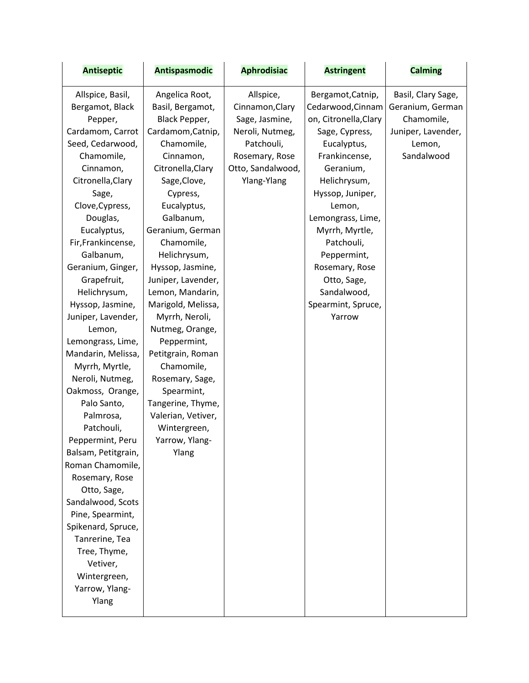| <b>Antiseptic</b>   | <b>Antispasmodic</b> | <b>Aphrodisiac</b> | <b>Astringent</b>     | <b>Calming</b>     |
|---------------------|----------------------|--------------------|-----------------------|--------------------|
| Allspice, Basil,    | Angelica Root,       | Allspice,          | Bergamot, Catnip,     | Basil, Clary Sage, |
| Bergamot, Black     | Basil, Bergamot,     | Cinnamon, Clary    | Cedarwood, Cinnam     | Geranium, German   |
| Pepper,             | Black Pepper,        | Sage, Jasmine,     | on, Citronella, Clary | Chamomile,         |
| Cardamom, Carrot    | Cardamom, Catnip,    | Neroli, Nutmeg,    | Sage, Cypress,        | Juniper, Lavender, |
| Seed, Cedarwood,    | Chamomile,           | Patchouli,         | Eucalyptus,           | Lemon,             |
| Chamomile,          | Cinnamon,            | Rosemary, Rose     | Frankincense,         | Sandalwood         |
| Cinnamon,           | Citronella, Clary    | Otto, Sandalwood,  | Geranium,             |                    |
| Citronella, Clary   | Sage, Clove,         | Ylang-Ylang        | Helichrysum,          |                    |
| Sage,               | Cypress,             |                    | Hyssop, Juniper,      |                    |
| Clove, Cypress,     | Eucalyptus,          |                    | Lemon,                |                    |
| Douglas,            | Galbanum,            |                    | Lemongrass, Lime,     |                    |
| Eucalyptus,         | Geranium, German     |                    | Myrrh, Myrtle,        |                    |
| Fir, Frankincense,  | Chamomile,           |                    | Patchouli,            |                    |
| Galbanum,           | Helichrysum,         |                    | Peppermint,           |                    |
| Geranium, Ginger,   | Hyssop, Jasmine,     |                    | Rosemary, Rose        |                    |
| Grapefruit,         | Juniper, Lavender,   |                    | Otto, Sage,           |                    |
| Helichrysum,        | Lemon, Mandarin,     |                    | Sandalwood,           |                    |
| Hyssop, Jasmine,    | Marigold, Melissa,   |                    | Spearmint, Spruce,    |                    |
| Juniper, Lavender,  | Myrrh, Neroli,       |                    | Yarrow                |                    |
| Lemon,              | Nutmeg, Orange,      |                    |                       |                    |
| Lemongrass, Lime,   | Peppermint,          |                    |                       |                    |
| Mandarin, Melissa,  | Petitgrain, Roman    |                    |                       |                    |
| Myrrh, Myrtle,      | Chamomile,           |                    |                       |                    |
| Neroli, Nutmeg,     | Rosemary, Sage,      |                    |                       |                    |
| Oakmoss, Orange,    | Spearmint,           |                    |                       |                    |
| Palo Santo,         | Tangerine, Thyme,    |                    |                       |                    |
| Palmrosa,           | Valerian, Vetiver,   |                    |                       |                    |
| Patchouli,          | Wintergreen,         |                    |                       |                    |
| Peppermint, Peru    | Yarrow, Ylang-       |                    |                       |                    |
| Balsam, Petitgrain, | Ylang                |                    |                       |                    |
| Roman Chamomile,    |                      |                    |                       |                    |
| Rosemary, Rose      |                      |                    |                       |                    |
| Otto, Sage,         |                      |                    |                       |                    |
| Sandalwood, Scots   |                      |                    |                       |                    |
| Pine, Spearmint,    |                      |                    |                       |                    |
| Spikenard, Spruce,  |                      |                    |                       |                    |
| Tanrerine, Tea      |                      |                    |                       |                    |
| Tree, Thyme,        |                      |                    |                       |                    |
| Vetiver,            |                      |                    |                       |                    |
| Wintergreen,        |                      |                    |                       |                    |
| Yarrow, Ylang-      |                      |                    |                       |                    |
| Ylang               |                      |                    |                       |                    |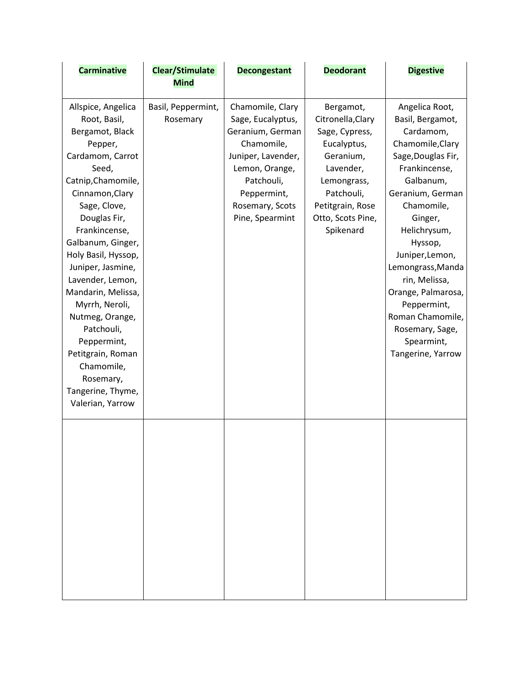| <b>Carminative</b>                                                                                                                                                                                                                                                                                                                                                                                                                                            | Clear/Stimulate<br><b>Mind</b> | <b>Decongestant</b>                                                                                                                                                                | <b>Deodorant</b>                                                                                                                                                             | <b>Digestive</b>                                                                                                                                                                                                                                                                                                                                                        |
|---------------------------------------------------------------------------------------------------------------------------------------------------------------------------------------------------------------------------------------------------------------------------------------------------------------------------------------------------------------------------------------------------------------------------------------------------------------|--------------------------------|------------------------------------------------------------------------------------------------------------------------------------------------------------------------------------|------------------------------------------------------------------------------------------------------------------------------------------------------------------------------|-------------------------------------------------------------------------------------------------------------------------------------------------------------------------------------------------------------------------------------------------------------------------------------------------------------------------------------------------------------------------|
| Allspice, Angelica<br>Root, Basil,<br>Bergamot, Black<br>Pepper,<br>Cardamom, Carrot<br>Seed,<br>Catnip, Chamomile,<br>Cinnamon, Clary<br>Sage, Clove,<br>Douglas Fir,<br>Frankincense,<br>Galbanum, Ginger,<br>Holy Basil, Hyssop,<br>Juniper, Jasmine,<br>Lavender, Lemon,<br>Mandarin, Melissa,<br>Myrrh, Neroli,<br>Nutmeg, Orange,<br>Patchouli,<br>Peppermint,<br>Petitgrain, Roman<br>Chamomile,<br>Rosemary,<br>Tangerine, Thyme,<br>Valerian, Yarrow | Basil, Peppermint,<br>Rosemary | Chamomile, Clary<br>Sage, Eucalyptus,<br>Geranium, German<br>Chamomile,<br>Juniper, Lavender,<br>Lemon, Orange,<br>Patchouli,<br>Peppermint,<br>Rosemary, Scots<br>Pine, Spearmint | Bergamot,<br>Citronella, Clary<br>Sage, Cypress,<br>Eucalyptus,<br>Geranium,<br>Lavender,<br>Lemongrass,<br>Patchouli,<br>Petitgrain, Rose<br>Otto, Scots Pine,<br>Spikenard | Angelica Root,<br>Basil, Bergamot,<br>Cardamom,<br>Chamomile, Clary<br>Sage, Douglas Fir,<br>Frankincense,<br>Galbanum,<br>Geranium, German<br>Chamomile,<br>Ginger,<br>Helichrysum,<br>Hyssop,<br>Juniper, Lemon,<br>Lemongrass, Manda<br>rin, Melissa,<br>Orange, Palmarosa,<br>Peppermint,<br>Roman Chamomile,<br>Rosemary, Sage,<br>Spearmint,<br>Tangerine, Yarrow |
|                                                                                                                                                                                                                                                                                                                                                                                                                                                               |                                |                                                                                                                                                                                    |                                                                                                                                                                              |                                                                                                                                                                                                                                                                                                                                                                         |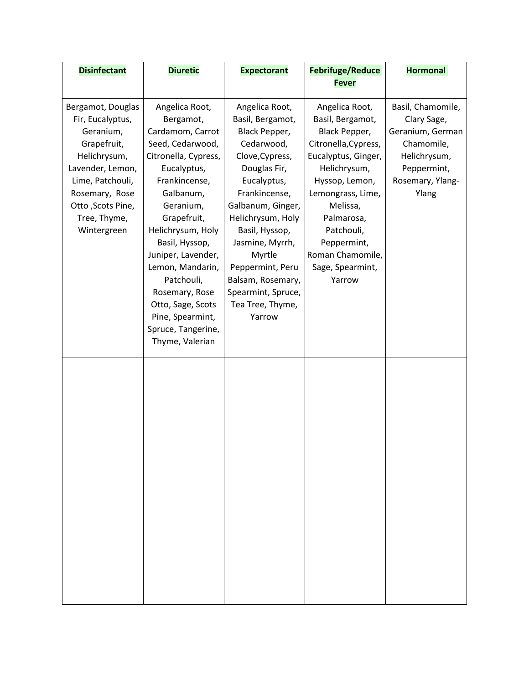| <b>Disinfectant</b>                                                                                                                                                                              | <b>Diuretic</b>                                                                                                                                                                                                                                                                                                                                                         | <b>Expectorant</b>                                                                                                                                                                                                                                                                                                         | <b>Febrifuge/Reduce</b>                                                                                                                                                                                                                                            | <b>Hormonal</b>                                                                                                                |
|--------------------------------------------------------------------------------------------------------------------------------------------------------------------------------------------------|-------------------------------------------------------------------------------------------------------------------------------------------------------------------------------------------------------------------------------------------------------------------------------------------------------------------------------------------------------------------------|----------------------------------------------------------------------------------------------------------------------------------------------------------------------------------------------------------------------------------------------------------------------------------------------------------------------------|--------------------------------------------------------------------------------------------------------------------------------------------------------------------------------------------------------------------------------------------------------------------|--------------------------------------------------------------------------------------------------------------------------------|
|                                                                                                                                                                                                  |                                                                                                                                                                                                                                                                                                                                                                         |                                                                                                                                                                                                                                                                                                                            | <b>Fever</b>                                                                                                                                                                                                                                                       |                                                                                                                                |
| Bergamot, Douglas<br>Fir, Eucalyptus,<br>Geranium,<br>Grapefruit,<br>Helichrysum,<br>Lavender, Lemon,<br>Lime, Patchouli,<br>Rosemary, Rose<br>Otto , Scots Pine,<br>Tree, Thyme,<br>Wintergreen | Angelica Root,<br>Bergamot,<br>Cardamom, Carrot<br>Seed, Cedarwood,<br>Citronella, Cypress,<br>Eucalyptus,<br>Frankincense,<br>Galbanum,<br>Geranium,<br>Grapefruit,<br>Helichrysum, Holy<br>Basil, Hyssop,<br>Juniper, Lavender,<br>Lemon, Mandarin,<br>Patchouli,<br>Rosemary, Rose<br>Otto, Sage, Scots<br>Pine, Spearmint,<br>Spruce, Tangerine,<br>Thyme, Valerian | Angelica Root,<br>Basil, Bergamot,<br>Black Pepper,<br>Cedarwood,<br>Clove, Cypress,<br>Douglas Fir,<br>Eucalyptus,<br>Frankincense,<br>Galbanum, Ginger,<br>Helichrysum, Holy<br>Basil, Hyssop,<br>Jasmine, Myrrh,<br>Myrtle<br>Peppermint, Peru<br>Balsam, Rosemary,<br>Spearmint, Spruce,<br>Tea Tree, Thyme,<br>Yarrow | Angelica Root,<br>Basil, Bergamot,<br>Black Pepper,<br>Citronella, Cypress,<br>Eucalyptus, Ginger,<br>Helichrysum,<br>Hyssop, Lemon,<br>Lemongrass, Lime,<br>Melissa,<br>Palmarosa,<br>Patchouli,<br>Peppermint,<br>Roman Chamomile,<br>Sage, Spearmint,<br>Yarrow | Basil, Chamomile,<br>Clary Sage,<br>Geranium, German<br>Chamomile,<br>Helichrysum,<br>Peppermint,<br>Rosemary, Ylang-<br>Ylang |
|                                                                                                                                                                                                  |                                                                                                                                                                                                                                                                                                                                                                         |                                                                                                                                                                                                                                                                                                                            |                                                                                                                                                                                                                                                                    |                                                                                                                                |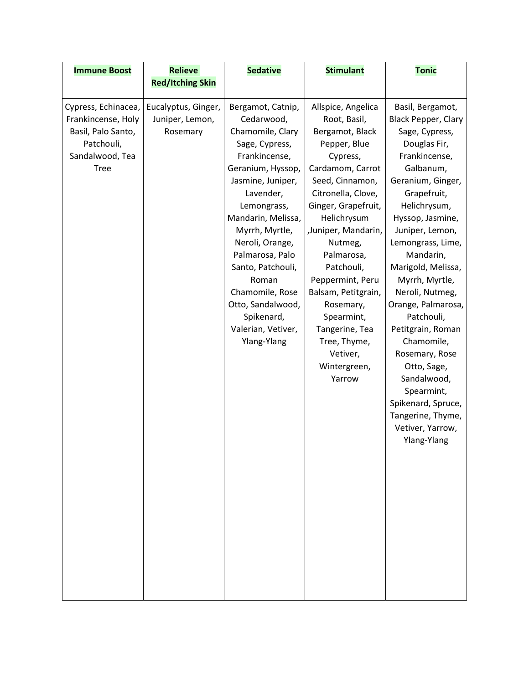| <b>Immune Boost</b>                                                                                             | <b>Relieve</b>                                     | <b>Sedative</b>                                                                                                                                                                                                                                                                                                                                                     | <b>Stimulant</b>                                                                                                                                                                                                                                                                                                                                                                                 | <b>Tonic</b>                                                                                                                                                                                                                                                                                                                                                                                                                                                                                                              |
|-----------------------------------------------------------------------------------------------------------------|----------------------------------------------------|---------------------------------------------------------------------------------------------------------------------------------------------------------------------------------------------------------------------------------------------------------------------------------------------------------------------------------------------------------------------|--------------------------------------------------------------------------------------------------------------------------------------------------------------------------------------------------------------------------------------------------------------------------------------------------------------------------------------------------------------------------------------------------|---------------------------------------------------------------------------------------------------------------------------------------------------------------------------------------------------------------------------------------------------------------------------------------------------------------------------------------------------------------------------------------------------------------------------------------------------------------------------------------------------------------------------|
|                                                                                                                 | <b>Red/Itching Skin</b>                            |                                                                                                                                                                                                                                                                                                                                                                     |                                                                                                                                                                                                                                                                                                                                                                                                  |                                                                                                                                                                                                                                                                                                                                                                                                                                                                                                                           |
| Cypress, Echinacea,<br>Frankincense, Holy<br>Basil, Palo Santo,<br>Patchouli,<br>Sandalwood, Tea<br><b>Tree</b> | Eucalyptus, Ginger,<br>Juniper, Lemon,<br>Rosemary | Bergamot, Catnip,<br>Cedarwood,<br>Chamomile, Clary<br>Sage, Cypress,<br>Frankincense,<br>Geranium, Hyssop,<br>Jasmine, Juniper,<br>Lavender,<br>Lemongrass,<br>Mandarin, Melissa,<br>Myrrh, Myrtle,<br>Neroli, Orange,<br>Palmarosa, Palo<br>Santo, Patchouli,<br>Roman<br>Chamomile, Rose<br>Otto, Sandalwood,<br>Spikenard,<br>Valerian, Vetiver,<br>Ylang-Ylang | Allspice, Angelica<br>Root, Basil,<br>Bergamot, Black<br>Pepper, Blue<br>Cypress,<br>Cardamom, Carrot<br>Seed, Cinnamon,<br>Citronella, Clove,<br>Ginger, Grapefruit,<br>Helichrysum<br>,Juniper, Mandarin,<br>Nutmeg,<br>Palmarosa,<br>Patchouli,<br>Peppermint, Peru<br>Balsam, Petitgrain,<br>Rosemary,<br>Spearmint,<br>Tangerine, Tea<br>Tree, Thyme,<br>Vetiver,<br>Wintergreen,<br>Yarrow | Basil, Bergamot,<br><b>Black Pepper, Clary</b><br>Sage, Cypress,<br>Douglas Fir,<br>Frankincense,<br>Galbanum,<br>Geranium, Ginger,<br>Grapefruit,<br>Helichrysum,<br>Hyssop, Jasmine,<br>Juniper, Lemon,<br>Lemongrass, Lime,<br>Mandarin,<br>Marigold, Melissa,<br>Myrrh, Myrtle,<br>Neroli, Nutmeg,<br>Orange, Palmarosa,<br>Patchouli,<br>Petitgrain, Roman<br>Chamomile,<br>Rosemary, Rose<br>Otto, Sage,<br>Sandalwood,<br>Spearmint,<br>Spikenard, Spruce,<br>Tangerine, Thyme,<br>Vetiver, Yarrow,<br>Ylang-Ylang |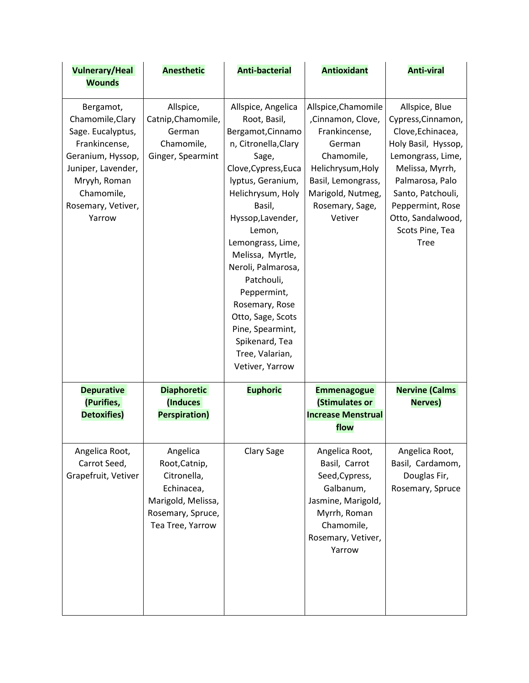| <b>Vulnerary/Heal</b>                                                                                                                                                        | <b>Anesthetic</b>                                                                                                     | <b>Anti-bacterial</b>                                                                                                                                                                                                                                                                                                                                                                                              | <b>Antioxidant</b>                                                                                                                                                              | <b>Anti-viral</b>                                                                                                                                                                                                                           |
|------------------------------------------------------------------------------------------------------------------------------------------------------------------------------|-----------------------------------------------------------------------------------------------------------------------|--------------------------------------------------------------------------------------------------------------------------------------------------------------------------------------------------------------------------------------------------------------------------------------------------------------------------------------------------------------------------------------------------------------------|---------------------------------------------------------------------------------------------------------------------------------------------------------------------------------|---------------------------------------------------------------------------------------------------------------------------------------------------------------------------------------------------------------------------------------------|
| <b>Wounds</b>                                                                                                                                                                |                                                                                                                       |                                                                                                                                                                                                                                                                                                                                                                                                                    |                                                                                                                                                                                 |                                                                                                                                                                                                                                             |
| Bergamot,<br>Chamomile, Clary<br>Sage. Eucalyptus,<br>Frankincense,<br>Geranium, Hyssop,<br>Juniper, Lavender,<br>Mryyh, Roman<br>Chamomile,<br>Rosemary, Vetiver,<br>Yarrow | Allspice,<br>Catnip, Chamomile,<br>German<br>Chamomile,<br>Ginger, Spearmint                                          | Allspice, Angelica<br>Root, Basil,<br>Bergamot, Cinnamo<br>n, Citronella, Clary<br>Sage,<br>Clove, Cypress, Euca<br>lyptus, Geranium,<br>Helichrysum, Holy<br>Basil,<br>Hyssop, Lavender,<br>Lemon,<br>Lemongrass, Lime,<br>Melissa, Myrtle,<br>Neroli, Palmarosa,<br>Patchouli,<br>Peppermint,<br>Rosemary, Rose<br>Otto, Sage, Scots<br>Pine, Spearmint,<br>Spikenard, Tea<br>Tree, Valarian,<br>Vetiver, Yarrow | Allspice, Chamomile<br>,Cinnamon, Clove,<br>Frankincense,<br>German<br>Chamomile,<br>Helichrysum, Holy<br>Basil, Lemongrass,<br>Marigold, Nutmeg,<br>Rosemary, Sage,<br>Vetiver | Allspice, Blue<br>Cypress, Cinnamon,<br>Clove, Echinacea,<br>Holy Basil, Hyssop,<br>Lemongrass, Lime,<br>Melissa, Myrrh,<br>Palmarosa, Palo<br>Santo, Patchouli,<br>Peppermint, Rose<br>Otto, Sandalwood,<br>Scots Pine, Tea<br><b>Tree</b> |
| <b>Depurative</b><br>(Purifies,<br><b>Detoxifies)</b>                                                                                                                        | <b>Diaphoretic</b><br>(Induces<br><b>Perspiration)</b>                                                                | <b>Euphoric</b>                                                                                                                                                                                                                                                                                                                                                                                                    | <b>Emmenagogue</b><br>(Stimulates or<br><b>Increase Menstrual</b><br>flow                                                                                                       | <b>Nervine (Calms</b><br><b>Nerves)</b>                                                                                                                                                                                                     |
| Angelica Root,<br>Carrot Seed,<br>Grapefruit, Vetiver                                                                                                                        | Angelica<br>Root, Catnip,<br>Citronella,<br>Echinacea,<br>Marigold, Melissa,<br>Rosemary, Spruce,<br>Tea Tree, Yarrow | Clary Sage                                                                                                                                                                                                                                                                                                                                                                                                         | Angelica Root,<br>Basil, Carrot<br>Seed, Cypress,<br>Galbanum,<br>Jasmine, Marigold,<br>Myrrh, Roman<br>Chamomile,<br>Rosemary, Vetiver,<br>Yarrow                              | Angelica Root,<br>Basil, Cardamom,<br>Douglas Fir,<br>Rosemary, Spruce                                                                                                                                                                      |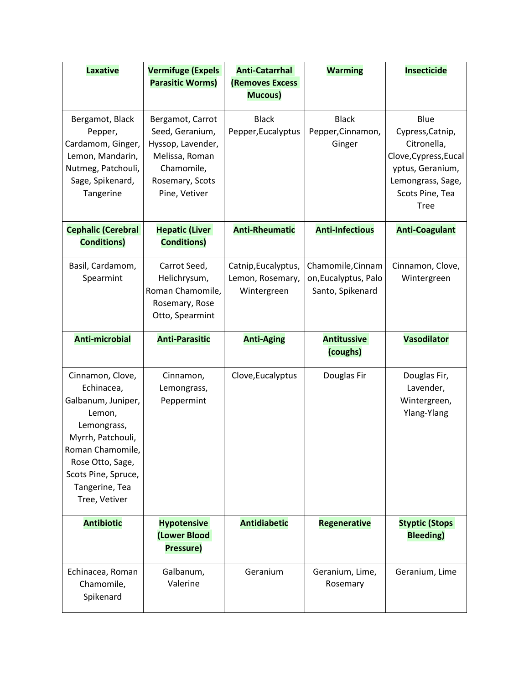| <b>Laxative</b>                                                                                                                                                                                      | <b>Vermifuge (Expels</b><br><b>Parasitic Worms)</b>                                                                          | <b>Anti-Catarrhal</b><br><b>(Removes Excess</b>        | <b>Warming</b>                                                | <b>Insecticide</b>                                                                                                                          |
|------------------------------------------------------------------------------------------------------------------------------------------------------------------------------------------------------|------------------------------------------------------------------------------------------------------------------------------|--------------------------------------------------------|---------------------------------------------------------------|---------------------------------------------------------------------------------------------------------------------------------------------|
|                                                                                                                                                                                                      |                                                                                                                              | Mucous)                                                |                                                               |                                                                                                                                             |
| Bergamot, Black<br>Pepper,<br>Cardamom, Ginger,<br>Lemon, Mandarin,<br>Nutmeg, Patchouli,<br>Sage, Spikenard,<br>Tangerine                                                                           | Bergamot, Carrot<br>Seed, Geranium,<br>Hyssop, Lavender,<br>Melissa, Roman<br>Chamomile,<br>Rosemary, Scots<br>Pine, Vetiver | <b>Black</b><br>Pepper, Eucalyptus                     | <b>Black</b><br>Pepper, Cinnamon,<br>Ginger                   | Blue<br>Cypress, Catnip,<br>Citronella,<br>Clove, Cypress, Eucal<br>yptus, Geranium,<br>Lemongrass, Sage,<br>Scots Pine, Tea<br><b>Tree</b> |
| <b>Cephalic (Cerebral</b><br><b>Conditions)</b>                                                                                                                                                      | <b>Hepatic (Liver</b><br><b>Conditions)</b>                                                                                  | <b>Anti-Rheumatic</b>                                  | <b>Anti-Infectious</b>                                        | <b>Anti-Coagulant</b>                                                                                                                       |
| Basil, Cardamom,<br>Spearmint                                                                                                                                                                        | Carrot Seed,<br>Helichrysum,<br>Roman Chamomile,<br>Rosemary, Rose<br>Otto, Spearmint                                        | Catnip, Eucalyptus,<br>Lemon, Rosemary,<br>Wintergreen | Chamomile, Cinnam<br>on, Eucalyptus, Palo<br>Santo, Spikenard | Cinnamon, Clove,<br>Wintergreen                                                                                                             |
| <b>Anti-microbial</b>                                                                                                                                                                                | <b>Anti-Parasitic</b>                                                                                                        | <b>Anti-Aging</b>                                      | <b>Antitussive</b><br>(coughs)                                | <b>Vasodilator</b>                                                                                                                          |
| Cinnamon, Clove,<br>Echinacea,<br>Galbanum, Juniper,<br>Lemon,<br>Lemongrass,<br>Myrrh, Patchouli,<br>Roman Chamomile,<br>Rose Otto, Sage,<br>Scots Pine, Spruce,<br>Tangerine, Tea<br>Tree, Vetiver | Cinnamon,<br>Lemongrass,<br>Peppermint                                                                                       | Clove, Eucalyptus                                      | Douglas Fir                                                   | Douglas Fir,<br>Lavender,<br>Wintergreen,<br>Ylang-Ylang                                                                                    |
| <b>Antibiotic</b>                                                                                                                                                                                    | <b>Hypotensive</b><br>(Lower Blood<br>Pressure)                                                                              | <b>Antidiabetic</b>                                    | <b>Regenerative</b>                                           | <b>Styptic (Stops</b><br><b>Bleeding</b> )                                                                                                  |
| Echinacea, Roman<br>Chamomile,<br>Spikenard                                                                                                                                                          | Galbanum,<br>Valerine                                                                                                        | Geranium                                               | Geranium, Lime,<br>Rosemary                                   | Geranium, Lime                                                                                                                              |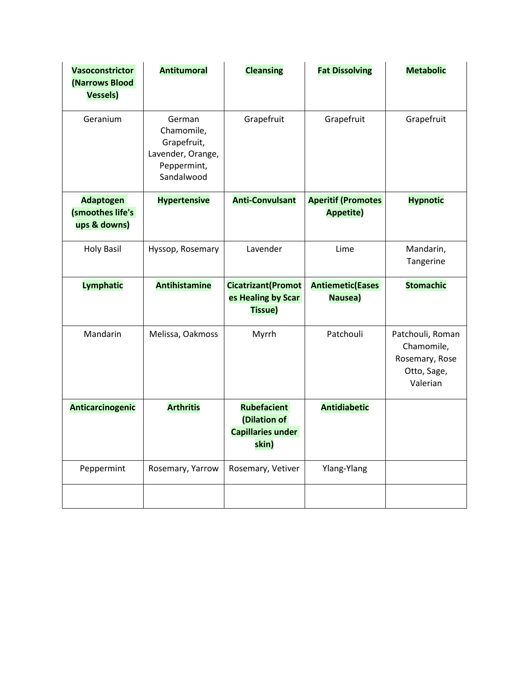| <b>Vasoconstrictor</b><br>(Narrows Blood<br><b>Vessels)</b> | <b>Antitumoral</b>                                                                    | <b>Cleansing</b>                                                        | <b>Fat Dissolving</b>                         | <b>Metabolic</b>                                                            |
|-------------------------------------------------------------|---------------------------------------------------------------------------------------|-------------------------------------------------------------------------|-----------------------------------------------|-----------------------------------------------------------------------------|
| Geranium                                                    | German<br>Chamomile,<br>Grapefruit,<br>Lavender, Orange,<br>Peppermint,<br>Sandalwood | Grapefruit                                                              | Grapefruit                                    | Grapefruit                                                                  |
| <b>Adaptogen</b><br>(smoothes life's<br>ups & downs)        | <b>Hypertensive</b>                                                                   | <b>Anti-Convulsant</b>                                                  | <b>Aperitif (Promotes</b><br><b>Appetite)</b> | <b>Hypnotic</b>                                                             |
| <b>Holy Basil</b>                                           | Hyssop, Rosemary                                                                      | Lavender                                                                | Lime                                          | Mandarin,<br>Tangerine                                                      |
| <b>Lymphatic</b>                                            | <b>Antihistamine</b>                                                                  | <b>Cicatrizant</b> (Promot<br>es Healing by Scar<br><b>Tissue)</b>      | <b>Antiemetic(Eases</b><br>Nausea)            | <b>Stomachic</b>                                                            |
| Mandarin                                                    | Melissa, Oakmoss                                                                      | Myrrh                                                                   | Patchouli                                     | Patchouli, Roman<br>Chamomile,<br>Rosemary, Rose<br>Otto, Sage,<br>Valerian |
| Anticarcinogenic                                            | <b>Arthritis</b>                                                                      | <b>Rubefacient</b><br>(Dilation of<br><b>Capillaries under</b><br>skin) | <b>Antidiabetic</b>                           |                                                                             |
| Peppermint                                                  | Rosemary, Yarrow                                                                      | Rosemary, Vetiver                                                       | Ylang-Ylang                                   |                                                                             |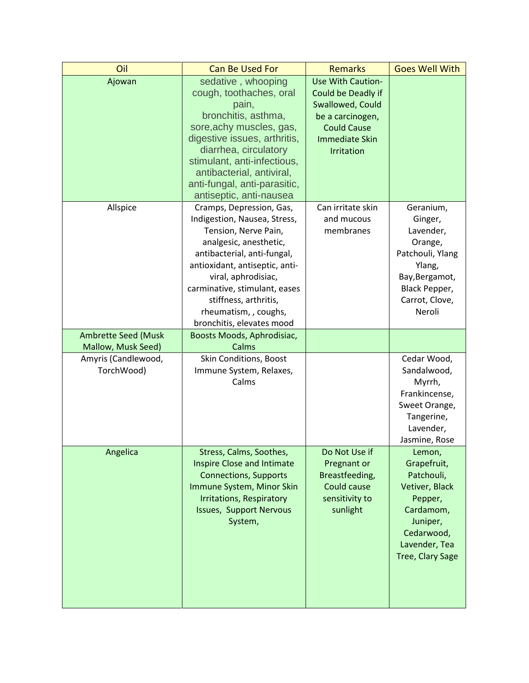| Oil                        | <b>Can Be Used For</b>                                   | <b>Remarks</b>        | <b>Goes Well With</b>   |
|----------------------------|----------------------------------------------------------|-----------------------|-------------------------|
| Ajowan                     | sedative, whooping                                       | Use With Caution-     |                         |
|                            | cough, toothaches, oral                                  | Could be Deadly if    |                         |
|                            | pain,                                                    | Swallowed, Could      |                         |
|                            | bronchitis, asthma,                                      | be a carcinogen,      |                         |
|                            | sore, achy muscles, gas,                                 | <b>Could Cause</b>    |                         |
|                            | digestive issues, arthritis,                             | <b>Immediate Skin</b> |                         |
|                            | diarrhea, circulatory                                    | Irritation            |                         |
|                            | stimulant, anti-infectious,<br>antibacterial, antiviral, |                       |                         |
|                            | anti-fungal, anti-parasitic,                             |                       |                         |
|                            | antiseptic, anti-nausea                                  |                       |                         |
| Allspice                   | Cramps, Depression, Gas,                                 | Can irritate skin     | Geranium,               |
|                            | Indigestion, Nausea, Stress,                             | and mucous            | Ginger,                 |
|                            | Tension, Nerve Pain,                                     | membranes             | Lavender,               |
|                            | analgesic, anesthetic,                                   |                       | Orange,                 |
|                            | antibacterial, anti-fungal,                              |                       | Patchouli, Ylang        |
|                            | antioxidant, antiseptic, anti-                           |                       | Ylang,                  |
|                            | viral, aphrodisiac,                                      |                       | Bay, Bergamot,          |
|                            | carminative, stimulant, eases                            |                       | Black Pepper,           |
|                            | stiffness, arthritis,                                    |                       | Carrot, Clove,          |
|                            | rheumatism, , coughs,                                    |                       | Neroli                  |
|                            | bronchitis, elevates mood                                |                       |                         |
| <b>Ambrette Seed (Musk</b> | Boosts Moods, Aphrodisiac,                               |                       |                         |
| Mallow, Musk Seed)         | Calms                                                    |                       |                         |
| Amyris (Candlewood,        | Skin Conditions, Boost                                   |                       | Cedar Wood,             |
| TorchWood)                 | Immune System, Relaxes,<br>Calms                         |                       | Sandalwood,             |
|                            |                                                          |                       | Myrrh,<br>Frankincense, |
|                            |                                                          |                       | Sweet Orange,           |
|                            |                                                          |                       | Tangerine,              |
|                            |                                                          |                       | Lavender,               |
|                            |                                                          |                       | Jasmine, Rose           |
| Angelica                   | Stress, Calms, Soothes,                                  | Do Not Use if         | Lemon,                  |
|                            | <b>Inspire Close and Intimate</b>                        | Pregnant or           | Grapefruit,             |
|                            | <b>Connections, Supports</b>                             | Breastfeeding,        | Patchouli,              |
|                            | Immune System, Minor Skin                                | Could cause           | Vetiver, Black          |
|                            | <b>Irritations, Respiratory</b>                          | sensitivity to        | Pepper,                 |
|                            | <b>Issues, Support Nervous</b>                           | sunlight              | Cardamom,               |
|                            | System,                                                  |                       | Juniper,                |
|                            |                                                          |                       | Cedarwood,              |
|                            |                                                          |                       | Lavender, Tea           |
|                            |                                                          |                       | Tree, Clary Sage        |
|                            |                                                          |                       |                         |
|                            |                                                          |                       |                         |
|                            |                                                          |                       |                         |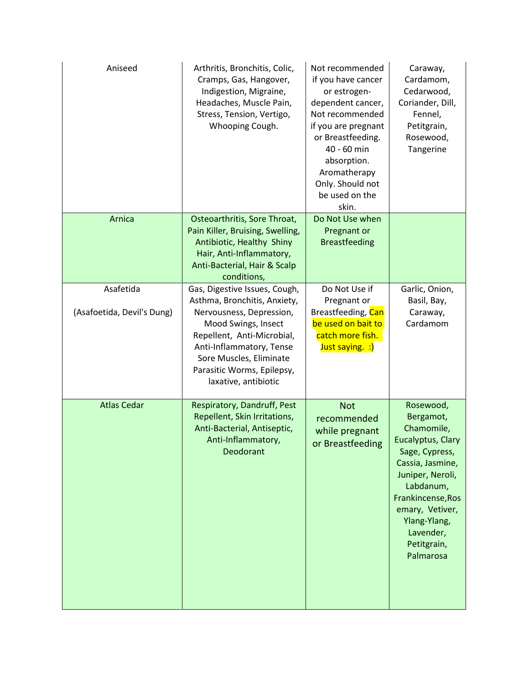| Aniseed                                 | Arthritis, Bronchitis, Colic,<br>Cramps, Gas, Hangover,<br>Indigestion, Migraine,<br>Headaches, Muscle Pain,<br>Stress, Tension, Vertigo,<br>Whooping Cough.                                                                                                | Not recommended<br>if you have cancer<br>or estrogen-<br>dependent cancer,<br>Not recommended<br>if you are pregnant<br>or Breastfeeding.<br>40 - 60 min<br>absorption.<br>Aromatherapy<br>Only. Should not<br>be used on the<br>skin. | Caraway,<br>Cardamom,<br>Cedarwood,<br>Coriander, Dill,<br>Fennel,<br>Petitgrain,<br>Rosewood,<br>Tangerine                                                                                                                       |
|-----------------------------------------|-------------------------------------------------------------------------------------------------------------------------------------------------------------------------------------------------------------------------------------------------------------|----------------------------------------------------------------------------------------------------------------------------------------------------------------------------------------------------------------------------------------|-----------------------------------------------------------------------------------------------------------------------------------------------------------------------------------------------------------------------------------|
| Arnica                                  | Osteoarthritis, Sore Throat,<br>Pain Killer, Bruising, Swelling,<br>Antibiotic, Healthy Shiny<br>Hair, Anti-Inflammatory,<br>Anti-Bacterial, Hair & Scalp<br>conditions,                                                                                    | Do Not Use when<br>Pregnant or<br><b>Breastfeeding</b>                                                                                                                                                                                 |                                                                                                                                                                                                                                   |
| Asafetida<br>(Asafoetida, Devil's Dung) | Gas, Digestive Issues, Cough,<br>Asthma, Bronchitis, Anxiety,<br>Nervousness, Depression,<br>Mood Swings, Insect<br>Repellent, Anti-Microbial,<br>Anti-Inflammatory, Tense<br>Sore Muscles, Eliminate<br>Parasitic Worms, Epilepsy,<br>laxative, antibiotic | Do Not Use if<br>Pregnant or<br>Breastfeeding, Can<br>be used on bait to<br>catch more fish.<br>Just saying. :)                                                                                                                        | Garlic, Onion,<br>Basil, Bay,<br>Caraway,<br>Cardamom                                                                                                                                                                             |
| <b>Atlas Cedar</b>                      | Respiratory, Dandruff, Pest<br>Repellent, Skin Irritations,<br>Anti-Bacterial, Antiseptic,<br>Anti-Inflammatory,<br>Deodorant                                                                                                                               | <b>Not</b><br>recommended<br>while pregnant<br>or Breastfeeding                                                                                                                                                                        | Rosewood,<br>Bergamot,<br>Chamomile,<br>Eucalyptus, Clary<br>Sage, Cypress,<br>Cassia, Jasmine,<br>Juniper, Neroli,<br>Labdanum,<br>Frankincense, Ros<br>emary, Vetiver,<br>Ylang-Ylang,<br>Lavender,<br>Petitgrain,<br>Palmarosa |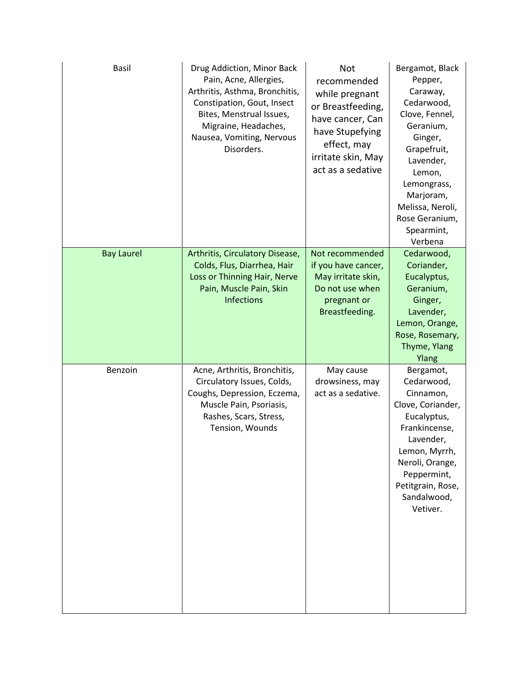| Basil             | Drug Addiction, Minor Back<br>Pain, Acne, Allergies,<br>Arthritis, Asthma, Bronchitis,<br>Constipation, Gout, Insect<br>Bites, Menstrual Issues,<br>Migraine, Headaches,<br>Nausea, Vomiting, Nervous<br>Disorders. | <b>Not</b><br>recommended<br>while pregnant<br>or Breastfeeding,<br>have cancer, Can<br>have Stupefying<br>effect, may<br>irritate skin, May<br>act as a sedative | Bergamot, Black<br>Pepper,<br>Caraway,<br>Cedarwood,<br>Clove, Fennel,<br>Geranium,<br>Ginger,<br>Grapefruit,<br>Lavender,<br>Lemon,<br>Lemongrass,<br>Marjoram,<br>Melissa, Neroli,<br>Rose Geranium,<br>Spearmint,<br>Verbena |
|-------------------|---------------------------------------------------------------------------------------------------------------------------------------------------------------------------------------------------------------------|-------------------------------------------------------------------------------------------------------------------------------------------------------------------|---------------------------------------------------------------------------------------------------------------------------------------------------------------------------------------------------------------------------------|
| <b>Bay Laurel</b> | Arthritis, Circulatory Disease,<br>Colds, Flus, Diarrhea, Hair<br>Loss or Thinning Hair, Nerve<br>Pain, Muscle Pain, Skin<br><b>Infections</b>                                                                      | Not recommended<br>if you have cancer,<br>May irritate skin,<br>Do not use when<br>pregnant or<br>Breastfeeding.                                                  | Cedarwood,<br>Coriander,<br>Eucalyptus,<br>Geranium,<br>Ginger,<br>Lavender,<br>Lemon, Orange,<br>Rose, Rosemary,<br>Thyme, Ylang<br>Ylang                                                                                      |
| Benzoin           | Acne, Arthritis, Bronchitis,<br>Circulatory Issues, Colds,<br>Coughs, Depression, Eczema,<br>Muscle Pain, Psoriasis,<br>Rashes, Scars, Stress,<br>Tension, Wounds                                                   | May cause<br>drowsiness, may<br>act as a sedative.                                                                                                                | Bergamot,<br>Cedarwood,<br>Cinnamon,<br>Clove, Coriander,<br>Eucalyptus,<br>Frankincense,<br>Lavender,<br>Lemon, Myrrh,<br>Neroli, Orange,<br>Peppermint,<br>Petitgrain, Rose,<br>Sandalwood,<br>Vetiver.                       |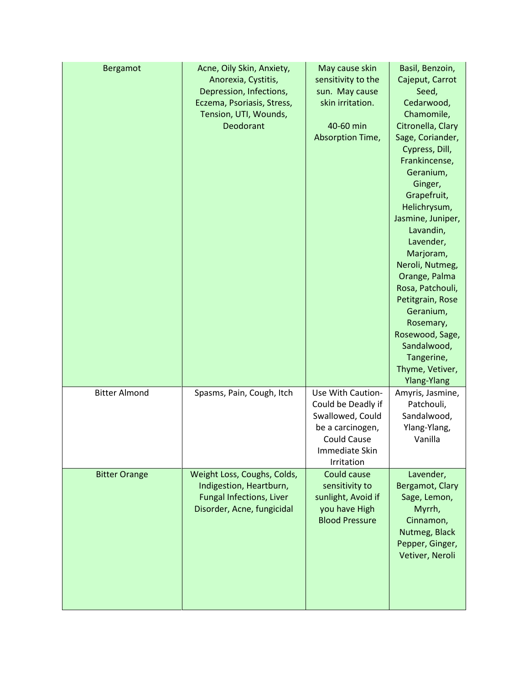| Bergamot             | Acne, Oily Skin, Anxiety,<br>Anorexia, Cystitis,<br>Depression, Infections,<br>Eczema, Psoriasis, Stress,<br>Tension, UTI, Wounds,<br>Deodorant | May cause skin<br>sensitivity to the<br>sun. May cause<br>skin irritation.<br>40-60 min<br>Absorption Time,                           | Basil, Benzoin,<br>Cajeput, Carrot<br>Seed,<br>Cedarwood,<br>Chamomile,<br>Citronella, Clary<br>Sage, Coriander,<br>Cypress, Dill,<br>Frankincense,<br>Geranium,<br>Ginger,<br>Grapefruit,<br>Helichrysum,<br>Jasmine, Juniper,<br>Lavandin,<br>Lavender,<br>Marjoram,<br>Neroli, Nutmeg,<br>Orange, Palma<br>Rosa, Patchouli,<br>Petitgrain, Rose<br>Geranium,<br>Rosemary,<br>Rosewood, Sage,<br>Sandalwood,<br>Tangerine,<br>Thyme, Vetiver,<br>Ylang-Ylang |
|----------------------|-------------------------------------------------------------------------------------------------------------------------------------------------|---------------------------------------------------------------------------------------------------------------------------------------|----------------------------------------------------------------------------------------------------------------------------------------------------------------------------------------------------------------------------------------------------------------------------------------------------------------------------------------------------------------------------------------------------------------------------------------------------------------|
| <b>Bitter Almond</b> | Spasms, Pain, Cough, Itch                                                                                                                       | Use With Caution-<br>Could be Deadly if<br>Swallowed, Could<br>be a carcinogen,<br><b>Could Cause</b><br>Immediate Skin<br>Irritation | Amyris, Jasmine,<br>Patchouli,<br>Sandalwood,<br>Ylang-Ylang,<br>Vanilla                                                                                                                                                                                                                                                                                                                                                                                       |
| <b>Bitter Orange</b> | Weight Loss, Coughs, Colds,<br>Indigestion, Heartburn,<br><b>Fungal Infections, Liver</b><br>Disorder, Acne, fungicidal                         | Could cause<br>sensitivity to<br>sunlight, Avoid if<br>you have High<br><b>Blood Pressure</b>                                         | Lavender,<br>Bergamot, Clary<br>Sage, Lemon,<br>Myrrh,<br>Cinnamon,<br>Nutmeg, Black<br>Pepper, Ginger,<br>Vetiver, Neroli                                                                                                                                                                                                                                                                                                                                     |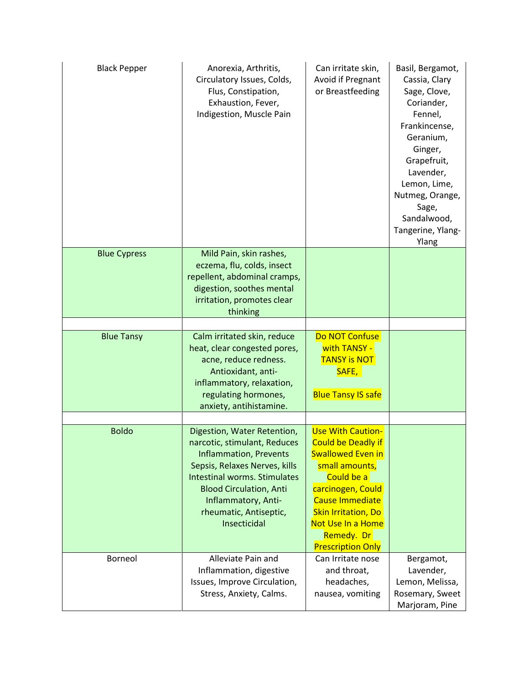| <b>Black Pepper</b> | Anorexia, Arthritis,<br>Circulatory Issues, Colds,<br>Flus, Constipation,<br>Exhaustion, Fever,<br>Indigestion, Muscle Pain                                                                                                                                             | Can irritate skin,<br>Avoid if Pregnant<br>or Breastfeeding                                                                                                                                                                                                   | Basil, Bergamot,<br>Cassia, Clary<br>Sage, Clove,<br>Coriander,<br>Fennel,<br>Frankincense,<br>Geranium,<br>Ginger,<br>Grapefruit,<br>Lavender,<br>Lemon, Lime,<br>Nutmeg, Orange,<br>Sage,<br>Sandalwood,<br>Tangerine, Ylang-<br>Ylang |
|---------------------|-------------------------------------------------------------------------------------------------------------------------------------------------------------------------------------------------------------------------------------------------------------------------|---------------------------------------------------------------------------------------------------------------------------------------------------------------------------------------------------------------------------------------------------------------|------------------------------------------------------------------------------------------------------------------------------------------------------------------------------------------------------------------------------------------|
| <b>Blue Cypress</b> | Mild Pain, skin rashes,<br>eczema, flu, colds, insect<br>repellent, abdominal cramps,                                                                                                                                                                                   |                                                                                                                                                                                                                                                               |                                                                                                                                                                                                                                          |
|                     | digestion, soothes mental<br>irritation, promotes clear<br>thinking                                                                                                                                                                                                     |                                                                                                                                                                                                                                                               |                                                                                                                                                                                                                                          |
|                     |                                                                                                                                                                                                                                                                         |                                                                                                                                                                                                                                                               |                                                                                                                                                                                                                                          |
| <b>Blue Tansy</b>   | Calm irritated skin, reduce<br>heat, clear congested pores,<br>acne, reduce redness.<br>Antioxidant, anti-<br>inflammatory, relaxation,<br>regulating hormones,<br>anxiety, antihistamine.                                                                              | Do NOT Confuse<br>with TANSY -<br><b>TANSY is NOT</b><br>SAFE,<br><b>Blue Tansy IS safe</b>                                                                                                                                                                   |                                                                                                                                                                                                                                          |
|                     |                                                                                                                                                                                                                                                                         |                                                                                                                                                                                                                                                               |                                                                                                                                                                                                                                          |
| <b>Boldo</b>        | Digestion, Water Retention,<br>narcotic, stimulant, Reduces<br><b>Inflammation, Prevents</b><br>Sepsis, Relaxes Nerves, kills<br><b>Intestinal worms. Stimulates</b><br><b>Blood Circulation, Anti</b><br>Inflammatory, Anti-<br>rheumatic, Antiseptic,<br>Insecticidal | <b>Use With Caution-</b><br><b>Could be Deadly if</b><br><b>Swallowed Even in</b><br>small amounts,<br>Could be a<br>carcinogen, Could<br><b>Cause Immediate</b><br><b>Skin Irritation, Do</b><br>Not Use In a Home<br>Remedy. Dr<br><b>Prescription Only</b> |                                                                                                                                                                                                                                          |
| Borneol             | Alleviate Pain and<br>Inflammation, digestive<br>Issues, Improve Circulation,<br>Stress, Anxiety, Calms.                                                                                                                                                                | Can Irritate nose<br>and throat,<br>headaches,<br>nausea, vomiting                                                                                                                                                                                            | Bergamot,<br>Lavender,<br>Lemon, Melissa,<br>Rosemary, Sweet<br>Marjoram, Pine                                                                                                                                                           |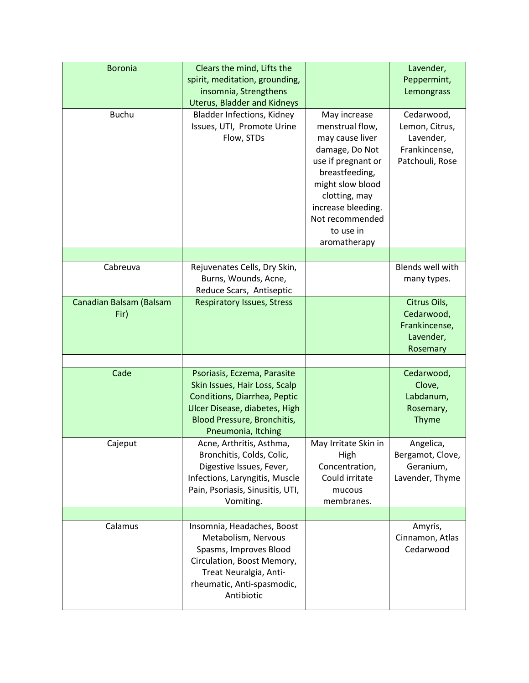| <b>Boronia</b><br><b>Buchu</b>  | Clears the mind, Lifts the<br>spirit, meditation, grounding,<br>insomnia, Strengthens<br><b>Uterus, Bladder and Kidneys</b><br><b>Bladder Infections, Kidney</b><br>Issues, UTI, Promote Urine<br>Flow, STDs | May increase<br>menstrual flow,<br>may cause liver<br>damage, Do Not<br>use if pregnant or<br>breastfeeding,<br>might slow blood<br>clotting, may<br>increase bleeding.<br>Not recommended<br>to use in | Lavender,<br>Peppermint,<br>Lemongrass<br>Cedarwood,<br>Lemon, Citrus,<br>Lavender,<br>Frankincense,<br>Patchouli, Rose |
|---------------------------------|--------------------------------------------------------------------------------------------------------------------------------------------------------------------------------------------------------------|---------------------------------------------------------------------------------------------------------------------------------------------------------------------------------------------------------|-------------------------------------------------------------------------------------------------------------------------|
|                                 |                                                                                                                                                                                                              | aromatherapy                                                                                                                                                                                            |                                                                                                                         |
| Cabreuva                        | Rejuvenates Cells, Dry Skin,<br>Burns, Wounds, Acne,<br>Reduce Scars, Antiseptic                                                                                                                             |                                                                                                                                                                                                         | <b>Blends well with</b><br>many types.                                                                                  |
| Canadian Balsam (Balsam<br>Fir) | <b>Respiratory Issues, Stress</b>                                                                                                                                                                            |                                                                                                                                                                                                         | Citrus Oils,<br>Cedarwood,<br>Frankincense,<br>Lavender,<br>Rosemary                                                    |
| Cade                            | Psoriasis, Eczema, Parasite<br>Skin Issues, Hair Loss, Scalp<br>Conditions, Diarrhea, Peptic<br>Ulcer Disease, diabetes, High<br>Blood Pressure, Bronchitis,<br>Pneumonia, Itching                           |                                                                                                                                                                                                         | Cedarwood,<br>Clove,<br>Labdanum,<br>Rosemary,<br><b>Thyme</b>                                                          |
| Cajeput                         | Acne, Arthritis, Asthma,<br>Bronchitis, Colds, Colic,<br>Digestive Issues, Fever,<br>Infections, Laryngitis, Muscle<br>Pain, Psoriasis, Sinusitis, UTI,<br>Vomiting.                                         | May Irritate Skin in<br>High<br>Concentration,<br>Could irritate<br>mucous<br>membranes.                                                                                                                | Angelica,<br>Bergamot, Clove,<br>Geranium,<br>Lavender, Thyme                                                           |
| Calamus                         | Insomnia, Headaches, Boost<br>Metabolism, Nervous<br>Spasms, Improves Blood<br>Circulation, Boost Memory,<br>Treat Neuralgia, Anti-<br>rheumatic, Anti-spasmodic,<br>Antibiotic                              |                                                                                                                                                                                                         | Amyris,<br>Cinnamon, Atlas<br>Cedarwood                                                                                 |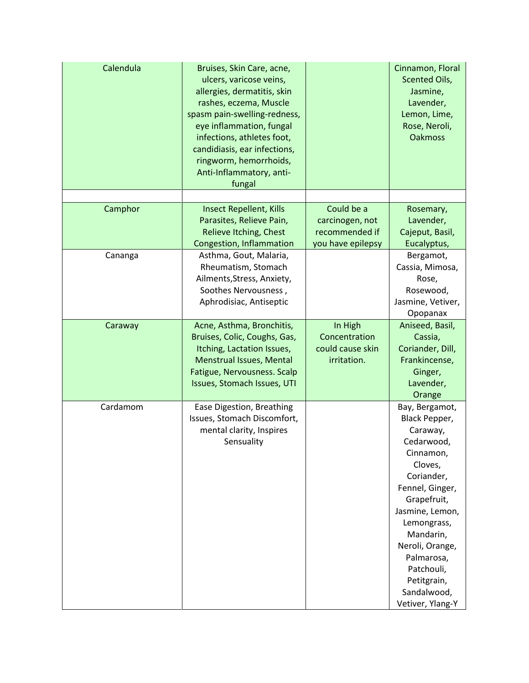| Calendula | Bruises, Skin Care, acne,<br>ulcers, varicose veins,<br>allergies, dermatitis, skin<br>rashes, eczema, Muscle<br>spasm pain-swelling-redness,<br>eye inflammation, fungal<br>infections, athletes foot,<br>candidiasis, ear infections,<br>ringworm, hemorrhoids,<br>Anti-Inflammatory, anti-<br>fungal |                                                                      | Cinnamon, Floral<br><b>Scented Oils,</b><br>Jasmine,<br>Lavender,<br>Lemon, Lime,<br>Rose, Neroli,<br><b>Oakmoss</b>                                                                                                                                                              |
|-----------|---------------------------------------------------------------------------------------------------------------------------------------------------------------------------------------------------------------------------------------------------------------------------------------------------------|----------------------------------------------------------------------|-----------------------------------------------------------------------------------------------------------------------------------------------------------------------------------------------------------------------------------------------------------------------------------|
|           |                                                                                                                                                                                                                                                                                                         |                                                                      |                                                                                                                                                                                                                                                                                   |
| Camphor   | <b>Insect Repellent, Kills</b><br>Parasites, Relieve Pain,<br>Relieve Itching, Chest<br>Congestion, Inflammation                                                                                                                                                                                        | Could be a<br>carcinogen, not<br>recommended if<br>you have epilepsy | Rosemary,<br>Lavender,<br>Cajeput, Basil,<br>Eucalyptus,                                                                                                                                                                                                                          |
| Cananga   | Asthma, Gout, Malaria,<br>Rheumatism, Stomach<br>Ailments, Stress, Anxiety,<br>Soothes Nervousness,<br>Aphrodisiac, Antiseptic                                                                                                                                                                          |                                                                      | Bergamot,<br>Cassia, Mimosa,<br>Rose,<br>Rosewood,<br>Jasmine, Vetiver,<br>Opopanax                                                                                                                                                                                               |
| Caraway   | Acne, Asthma, Bronchitis,<br>Bruises, Colic, Coughs, Gas,<br>Itching, Lactation Issues,<br>Menstrual Issues, Mental<br>Fatigue, Nervousness. Scalp<br>Issues, Stomach Issues, UTI                                                                                                                       | In High<br>Concentration<br>could cause skin<br>irritation.          | Aniseed, Basil,<br>Cassia,<br>Coriander, Dill,<br>Frankincense,<br>Ginger,<br>Lavender,<br>Orange                                                                                                                                                                                 |
| Cardamom  | Ease Digestion, Breathing<br>Issues, Stomach Discomfort,<br>mental clarity, Inspires<br>Sensuality                                                                                                                                                                                                      |                                                                      | Bay, Bergamot,<br>Black Pepper,<br>Caraway,<br>Cedarwood,<br>Cinnamon,<br>Cloves,<br>Coriander,<br>Fennel, Ginger,<br>Grapefruit,<br>Jasmine, Lemon,<br>Lemongrass,<br>Mandarin,<br>Neroli, Orange,<br>Palmarosa,<br>Patchouli,<br>Petitgrain,<br>Sandalwood,<br>Vetiver, Ylang-Y |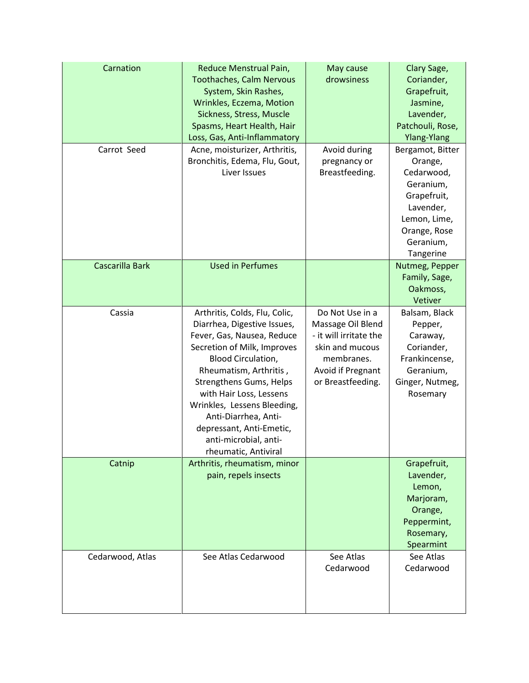| Carnation<br>Carrot Seed | Reduce Menstrual Pain,<br><b>Toothaches, Calm Nervous</b><br>System, Skin Rashes,<br>Wrinkles, Eczema, Motion<br>Sickness, Stress, Muscle<br>Spasms, Heart Health, Hair<br>Loss, Gas, Anti-Inflammatory<br>Acne, moisturizer, Arthritis,<br>Bronchitis, Edema, Flu, Gout,                                                                                                  | May cause<br>drowsiness<br>Avoid during<br>pregnancy or                                                                                   | Clary Sage,<br>Coriander,<br>Grapefruit,<br>Jasmine,<br>Lavender,<br>Patchouli, Rose,<br><b>Ylang-Ylang</b><br>Bergamot, Bitter<br>Orange, |
|--------------------------|----------------------------------------------------------------------------------------------------------------------------------------------------------------------------------------------------------------------------------------------------------------------------------------------------------------------------------------------------------------------------|-------------------------------------------------------------------------------------------------------------------------------------------|--------------------------------------------------------------------------------------------------------------------------------------------|
|                          | Liver Issues                                                                                                                                                                                                                                                                                                                                                               | Breastfeeding.                                                                                                                            | Cedarwood,<br>Geranium,<br>Grapefruit,<br>Lavender,<br>Lemon, Lime,<br>Orange, Rose<br>Geranium,<br>Tangerine                              |
| Cascarilla Bark          | <b>Used in Perfumes</b>                                                                                                                                                                                                                                                                                                                                                    |                                                                                                                                           | Nutmeg, Pepper<br>Family, Sage,<br>Oakmoss,<br>Vetiver                                                                                     |
| Cassia                   | Arthritis, Colds, Flu, Colic,<br>Diarrhea, Digestive Issues,<br>Fever, Gas, Nausea, Reduce<br>Secretion of Milk, Improves<br><b>Blood Circulation,</b><br>Rheumatism, Arthritis,<br>Strengthens Gums, Helps<br>with Hair Loss, Lessens<br>Wrinkles, Lessens Bleeding,<br>Anti-Diarrhea, Anti-<br>depressant, Anti-Emetic,<br>anti-microbial, anti-<br>rheumatic, Antiviral | Do Not Use in a<br>Massage Oil Blend<br>- it will irritate the<br>skin and mucous<br>membranes.<br>Avoid if Pregnant<br>or Breastfeeding. | Balsam, Black<br>Pepper,<br>Caraway,<br>Coriander,<br>Frankincense,<br>Geranium,<br>Ginger, Nutmeg,<br>Rosemary                            |
| Catnip                   | Arthritis, rheumatism, minor<br>pain, repels insects                                                                                                                                                                                                                                                                                                                       |                                                                                                                                           | Grapefruit,<br>Lavender,<br>Lemon,<br>Marjoram,<br>Orange,<br>Peppermint,<br>Rosemary,<br>Spearmint                                        |
| Cedarwood, Atlas         | See Atlas Cedarwood                                                                                                                                                                                                                                                                                                                                                        | See Atlas<br>Cedarwood                                                                                                                    | See Atlas<br>Cedarwood                                                                                                                     |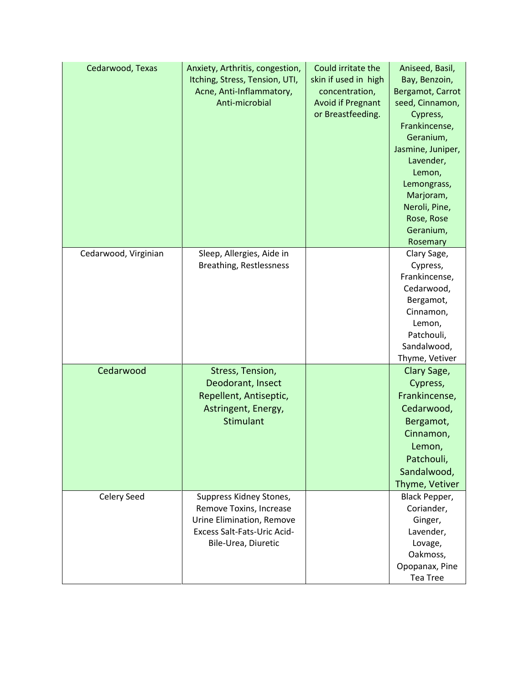| Cedarwood, Texas     | Anxiety, Arthritis, congestion,<br>Itching, Stress, Tension, UTI,<br>Acne, Anti-Inflammatory,<br>Anti-microbial                       | Could irritate the<br>skin if used in high<br>concentration,<br><b>Avoid if Pregnant</b><br>or Breastfeeding. | Aniseed, Basil,<br>Bay, Benzoin,<br>Bergamot, Carrot<br>seed, Cinnamon,<br>Cypress,<br>Frankincense,<br>Geranium,<br>Jasmine, Juniper,<br>Lavender, |
|----------------------|---------------------------------------------------------------------------------------------------------------------------------------|---------------------------------------------------------------------------------------------------------------|-----------------------------------------------------------------------------------------------------------------------------------------------------|
|                      |                                                                                                                                       |                                                                                                               | Lemon,<br>Lemongrass,<br>Marjoram,<br>Neroli, Pine,<br>Rose, Rose<br>Geranium,<br>Rosemary                                                          |
| Cedarwood, Virginian | Sleep, Allergies, Aide in<br>Breathing, Restlessness                                                                                  |                                                                                                               | Clary Sage,<br>Cypress,<br>Frankincense,<br>Cedarwood,<br>Bergamot,<br>Cinnamon,<br>Lemon,<br>Patchouli,<br>Sandalwood,<br>Thyme, Vetiver           |
| Cedarwood            | Stress, Tension,<br>Deodorant, Insect<br>Repellent, Antiseptic,<br>Astringent, Energy,<br>Stimulant                                   |                                                                                                               | Clary Sage,<br>Cypress,<br>Frankincense,<br>Cedarwood,<br>Bergamot,<br>Cinnamon,<br>Lemon,<br>Patchouli,<br>Sandalwood,<br>Thyme, Vetiver           |
| Celery Seed          | Suppress Kidney Stones,<br>Remove Toxins, Increase<br>Urine Elimination, Remove<br>Excess Salt-Fats-Uric Acid-<br>Bile-Urea, Diuretic |                                                                                                               | Black Pepper,<br>Coriander,<br>Ginger,<br>Lavender,<br>Lovage,<br>Oakmoss,<br>Opopanax, Pine<br>Tea Tree                                            |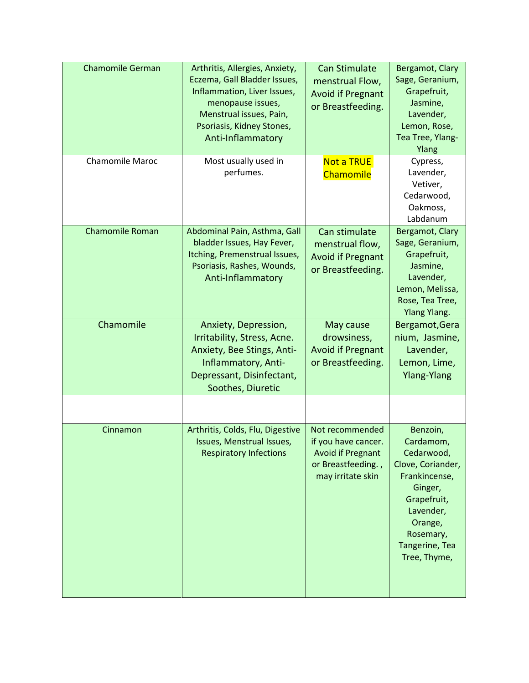| <b>Chamomile German</b> | Arthritis, Allergies, Anxiety,<br>Eczema, Gall Bladder Issues,<br>Inflammation, Liver Issues,<br>menopause issues,<br>Menstrual issues, Pain,<br>Psoriasis, Kidney Stones,<br>Anti-Inflammatory | <b>Can Stimulate</b><br>menstrual Flow,<br><b>Avoid if Pregnant</b><br>or Breastfeeding.                      | Bergamot, Clary<br>Sage, Geranium,<br>Grapefruit,<br>Jasmine,<br>Lavender,<br>Lemon, Rose,<br>Tea Tree, Ylang-<br>Ylang                                                    |
|-------------------------|-------------------------------------------------------------------------------------------------------------------------------------------------------------------------------------------------|---------------------------------------------------------------------------------------------------------------|----------------------------------------------------------------------------------------------------------------------------------------------------------------------------|
| Chamomile Maroc         | Most usually used in<br>perfumes.                                                                                                                                                               | <b>Not a TRUE</b><br>Chamomile                                                                                | Cypress,<br>Lavender,<br>Vetiver,<br>Cedarwood,<br>Oakmoss,<br>Labdanum                                                                                                    |
| <b>Chamomile Roman</b>  | Abdominal Pain, Asthma, Gall<br>bladder Issues, Hay Fever,<br>Itching, Premenstrual Issues,<br>Psoriasis, Rashes, Wounds,<br>Anti-Inflammatory                                                  | Can stimulate<br>menstrual flow,<br><b>Avoid if Pregnant</b><br>or Breastfeeding.                             | Bergamot, Clary<br>Sage, Geranium,<br>Grapefruit,<br>Jasmine,<br>Lavender,<br>Lemon, Melissa,<br>Rose, Tea Tree,<br><b>Ylang Ylang.</b>                                    |
| Chamomile               | Anxiety, Depression,<br>Irritability, Stress, Acne.<br>Anxiety, Bee Stings, Anti-<br>Inflammatory, Anti-<br>Depressant, Disinfectant,<br>Soothes, Diuretic                                      | May cause<br>drowsiness,<br><b>Avoid if Pregnant</b><br>or Breastfeeding.                                     | Bergamot, Gera<br>nium, Jasmine,<br>Lavender,<br>Lemon, Lime,<br><b>Ylang-Ylang</b>                                                                                        |
| Cinnamon                | Arthritis, Colds, Flu, Digestive<br>Issues, Menstrual Issues,<br><b>Respiratory Infections</b>                                                                                                  | Not recommended<br>if you have cancer.<br><b>Avoid if Pregnant</b><br>or Breastfeeding.,<br>may irritate skin | Benzoin,<br>Cardamom,<br>Cedarwood,<br>Clove, Coriander,<br>Frankincense,<br>Ginger,<br>Grapefruit,<br>Lavender,<br>Orange,<br>Rosemary,<br>Tangerine, Tea<br>Tree, Thyme, |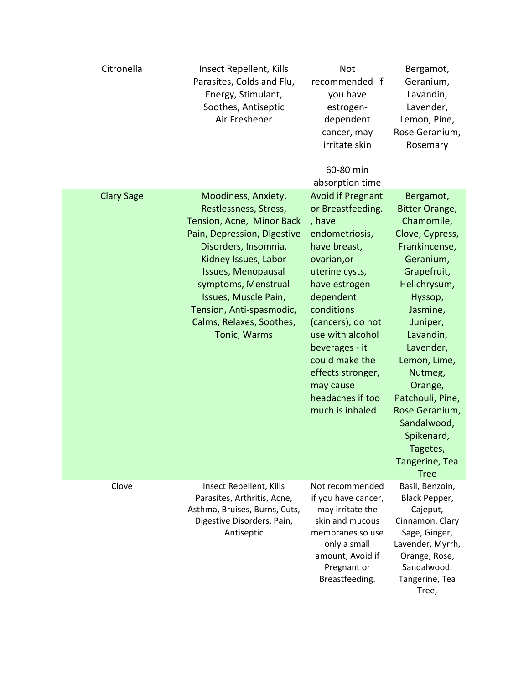| Citronella        | Insect Repellent, Kills<br>Parasites, Colds and Flu,<br>Energy, Stimulant,<br>Soothes, Antiseptic<br>Air Freshener                                                                                                                                                                                    | Not<br>recommended if<br>you have<br>estrogen-<br>dependent<br>cancer, may<br>irritate skin<br>60-80 min<br>absorption time                                                                                                                                                                                                  | Bergamot,<br>Geranium,<br>Lavandin,<br>Lavender,<br>Lemon, Pine,<br>Rose Geranium,<br>Rosemary                                                                                                                                                                                                                                               |
|-------------------|-------------------------------------------------------------------------------------------------------------------------------------------------------------------------------------------------------------------------------------------------------------------------------------------------------|------------------------------------------------------------------------------------------------------------------------------------------------------------------------------------------------------------------------------------------------------------------------------------------------------------------------------|----------------------------------------------------------------------------------------------------------------------------------------------------------------------------------------------------------------------------------------------------------------------------------------------------------------------------------------------|
| <b>Clary Sage</b> | Moodiness, Anxiety,<br>Restlessness, Stress,<br>Tension, Acne, Minor Back<br>Pain, Depression, Digestive<br>Disorders, Insomnia,<br>Kidney Issues, Labor<br>Issues, Menopausal<br>symptoms, Menstrual<br>Issues, Muscle Pain,<br>Tension, Anti-spasmodic,<br>Calms, Relaxes, Soothes,<br>Tonic, Warms | <b>Avoid if Pregnant</b><br>or Breastfeeding.<br>, have<br>endometriosis,<br>have breast,<br>ovarian, or<br>uterine cysts,<br>have estrogen<br>dependent<br>conditions<br>(cancers), do not<br>use with alcohol<br>beverages - it<br>could make the<br>effects stronger,<br>may cause<br>headaches if too<br>much is inhaled | Bergamot,<br>Bitter Orange,<br>Chamomile,<br>Clove, Cypress,<br>Frankincense,<br>Geranium,<br>Grapefruit,<br>Helichrysum,<br>Hyssop,<br>Jasmine,<br>Juniper,<br>Lavandin,<br>Lavender,<br>Lemon, Lime,<br>Nutmeg,<br>Orange,<br>Patchouli, Pine,<br>Rose Geranium,<br>Sandalwood,<br>Spikenard,<br>Tagetes,<br>Tangerine, Tea<br><b>Tree</b> |
| Clove             | Insect Repellent, Kills<br>Parasites, Arthritis, Acne,<br>Asthma, Bruises, Burns, Cuts,<br>Digestive Disorders, Pain,<br>Antiseptic                                                                                                                                                                   | Not recommended<br>if you have cancer,<br>may irritate the<br>skin and mucous<br>membranes so use<br>only a small<br>amount, Avoid if<br>Pregnant or<br>Breastfeeding.                                                                                                                                                       | Basil, Benzoin,<br>Black Pepper,<br>Cajeput,<br>Cinnamon, Clary<br>Sage, Ginger,<br>Lavender, Myrrh,<br>Orange, Rose,<br>Sandalwood.<br>Tangerine, Tea<br>Tree,                                                                                                                                                                              |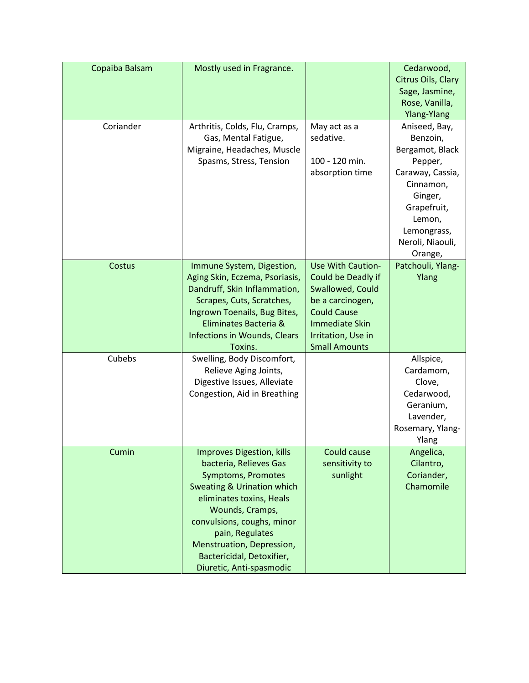| Copaiba Balsam | Mostly used in Fragrance.                                                                                                                                                                                                                                                                                       |                                                                                                                                                                                     | Cedarwood,<br>Citrus Oils, Clary<br>Sage, Jasmine,<br>Rose, Vanilla,                                                                                                                      |
|----------------|-----------------------------------------------------------------------------------------------------------------------------------------------------------------------------------------------------------------------------------------------------------------------------------------------------------------|-------------------------------------------------------------------------------------------------------------------------------------------------------------------------------------|-------------------------------------------------------------------------------------------------------------------------------------------------------------------------------------------|
| Coriander      | Arthritis, Colds, Flu, Cramps,<br>Gas, Mental Fatigue,<br>Migraine, Headaches, Muscle<br>Spasms, Stress, Tension                                                                                                                                                                                                | May act as a<br>sedative.<br>100 - 120 min.<br>absorption time                                                                                                                      | Ylang-Ylang<br>Aniseed, Bay,<br>Benzoin,<br>Bergamot, Black<br>Pepper,<br>Caraway, Cassia,<br>Cinnamon,<br>Ginger,<br>Grapefruit,<br>Lemon,<br>Lemongrass,<br>Neroli, Niaouli,<br>Orange, |
| Costus         | Immune System, Digestion,<br>Aging Skin, Eczema, Psoriasis,<br>Dandruff, Skin Inflammation,<br>Scrapes, Cuts, Scratches,<br>Ingrown Toenails, Bug Bites,<br>Eliminates Bacteria &<br>Infections in Wounds, Clears<br>Toxins.                                                                                    | <b>Use With Caution-</b><br>Could be Deadly if<br>Swallowed, Could<br>be a carcinogen,<br><b>Could Cause</b><br><b>Immediate Skin</b><br>Irritation, Use in<br><b>Small Amounts</b> | Patchouli, Ylang-<br>Ylang                                                                                                                                                                |
| Cubebs         | Swelling, Body Discomfort,<br>Relieve Aging Joints,<br>Digestive Issues, Alleviate<br>Congestion, Aid in Breathing                                                                                                                                                                                              |                                                                                                                                                                                     | Allspice,<br>Cardamom,<br>Clove,<br>Cedarwood,<br>Geranium,<br>Lavender,<br>Rosemary, Ylang-<br>Ylang                                                                                     |
| Cumin          | Improves Digestion, kills<br>bacteria, Relieves Gas<br><b>Symptoms, Promotes</b><br><b>Sweating &amp; Urination which</b><br>eliminates toxins, Heals<br>Wounds, Cramps,<br>convulsions, coughs, minor<br>pain, Regulates<br>Menstruation, Depression,<br>Bactericidal, Detoxifier,<br>Diuretic, Anti-spasmodic | Could cause<br>sensitivity to<br>sunlight                                                                                                                                           | Angelica,<br>Cilantro,<br>Coriander,<br>Chamomile                                                                                                                                         |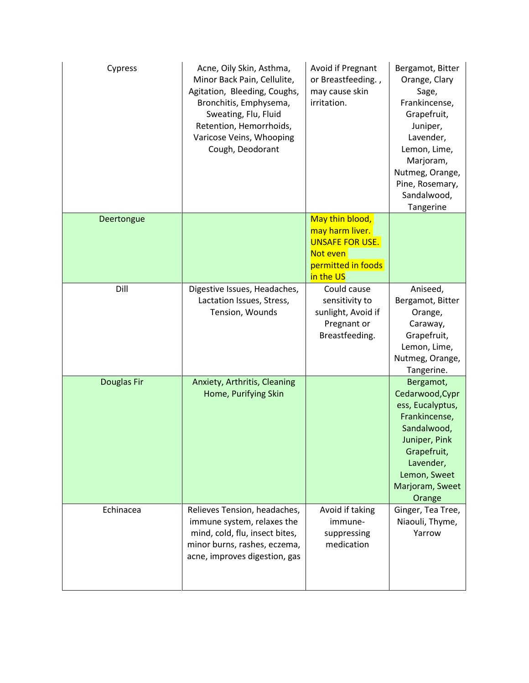| Cypress            | Acne, Oily Skin, Asthma,<br>Minor Back Pain, Cellulite,<br>Agitation, Bleeding, Coughs,<br>Bronchitis, Emphysema,<br>Sweating, Flu, Fluid<br>Retention, Hemorrhoids,<br>Varicose Veins, Whooping<br>Cough, Deodorant | Avoid if Pregnant<br>or Breastfeeding.,<br>may cause skin<br>irritation.                                    | Bergamot, Bitter<br>Orange, Clary<br>Sage,<br>Frankincense,<br>Grapefruit,<br>Juniper,<br>Lavender,<br>Lemon, Lime,<br>Marjoram,<br>Nutmeg, Orange,<br>Pine, Rosemary,<br>Sandalwood,<br>Tangerine |
|--------------------|----------------------------------------------------------------------------------------------------------------------------------------------------------------------------------------------------------------------|-------------------------------------------------------------------------------------------------------------|----------------------------------------------------------------------------------------------------------------------------------------------------------------------------------------------------|
| Deertongue         |                                                                                                                                                                                                                      | May thin blood,<br>may harm liver.<br><b>UNSAFE FOR USE.</b><br>Not even<br>permitted in foods<br>in the US |                                                                                                                                                                                                    |
| Dill               | Digestive Issues, Headaches,<br>Lactation Issues, Stress,<br>Tension, Wounds                                                                                                                                         | Could cause<br>sensitivity to<br>sunlight, Avoid if<br>Pregnant or<br>Breastfeeding.                        | Aniseed,<br>Bergamot, Bitter<br>Orange,<br>Caraway,<br>Grapefruit,<br>Lemon, Lime,<br>Nutmeg, Orange,<br>Tangerine.                                                                                |
| <b>Douglas Fir</b> | Anxiety, Arthritis, Cleaning<br>Home, Purifying Skin                                                                                                                                                                 |                                                                                                             | Bergamot,<br>Cedarwood, Cypr<br>ess, Eucalyptus,<br>Frankincense,<br>Sandalwood,<br>Juniper, Pink<br>Grapefruit,<br>Lavender,<br>Lemon, Sweet<br>Marjoram, Sweet<br>Orange                         |
| Echinacea          | Relieves Tension, headaches,<br>immune system, relaxes the<br>mind, cold, flu, insect bites,<br>minor burns, rashes, eczema,<br>acne, improves digestion, gas                                                        | Avoid if taking<br>immune-<br>suppressing<br>medication                                                     | Ginger, Tea Tree,<br>Niaouli, Thyme,<br>Yarrow                                                                                                                                                     |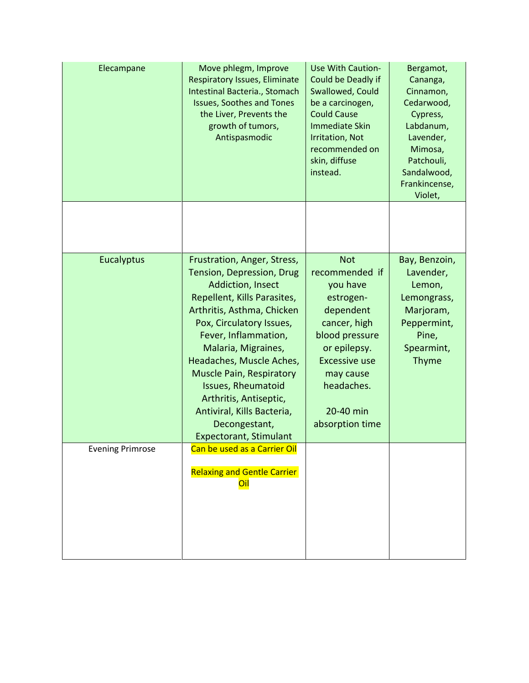| Elecampane              | Move phlegm, Improve<br><b>Respiratory Issues, Eliminate</b><br>Intestinal Bacteria., Stomach<br><b>Issues, Soothes and Tones</b><br>the Liver, Prevents the<br>growth of tumors,<br>Antispasmodic                                                                                                                                                                                                                          | <b>Use With Caution-</b><br>Could be Deadly if<br>Swallowed, Could<br>be a carcinogen,<br><b>Could Cause</b><br><b>Immediate Skin</b><br><b>Irritation, Not</b><br>recommended on<br>skin, diffuse<br>instead. | Bergamot,<br>Cananga,<br>Cinnamon,<br>Cedarwood,<br>Cypress,<br>Labdanum,<br>Lavender,<br>Mimosa,<br>Patchouli,<br>Sandalwood,<br>Frankincense,<br>Violet, |
|-------------------------|-----------------------------------------------------------------------------------------------------------------------------------------------------------------------------------------------------------------------------------------------------------------------------------------------------------------------------------------------------------------------------------------------------------------------------|----------------------------------------------------------------------------------------------------------------------------------------------------------------------------------------------------------------|------------------------------------------------------------------------------------------------------------------------------------------------------------|
|                         |                                                                                                                                                                                                                                                                                                                                                                                                                             |                                                                                                                                                                                                                |                                                                                                                                                            |
| Eucalyptus              | Frustration, Anger, Stress,<br>Tension, Depression, Drug<br>Addiction, Insect<br>Repellent, Kills Parasites,<br>Arthritis, Asthma, Chicken<br>Pox, Circulatory Issues,<br>Fever, Inflammation,<br>Malaria, Migraines,<br>Headaches, Muscle Aches,<br><b>Muscle Pain, Respiratory</b><br><b>Issues, Rheumatoid</b><br>Arthritis, Antiseptic,<br>Antiviral, Kills Bacteria,<br>Decongestant,<br><b>Expectorant, Stimulant</b> | <b>Not</b><br>recommended if<br>you have<br>estrogen-<br>dependent<br>cancer, high<br>blood pressure<br>or epilepsy.<br><b>Excessive use</b><br>may cause<br>headaches.<br>20-40 min<br>absorption time        | Bay, Benzoin,<br>Lavender,<br>Lemon,<br>Lemongrass,<br>Marjoram,<br>Peppermint,<br>Pine,<br>Spearmint,<br><b>Thyme</b>                                     |
| <b>Evening Primrose</b> | Can be used as a Carrier Oil<br><b>Relaxing and Gentle Carrier</b><br>Oil                                                                                                                                                                                                                                                                                                                                                   |                                                                                                                                                                                                                |                                                                                                                                                            |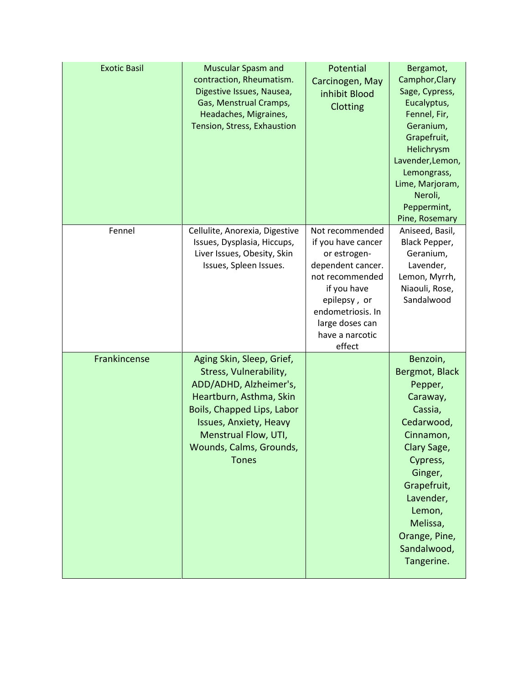| <b>Exotic Basil</b> | <b>Muscular Spasm and</b><br>contraction, Rheumatism.<br>Digestive Issues, Nausea,<br>Gas, Menstrual Cramps,<br>Headaches, Migraines,<br>Tension, Stress, Exhaustion                                                                | Potential<br>Carcinogen, May<br>inhibit Blood<br>Clotting                                                                                                                                         | Bergamot,<br>Camphor, Clary<br>Sage, Cypress,<br>Eucalyptus,<br>Fennel, Fir,<br>Geranium,<br>Grapefruit,<br>Helichrysm<br>Lavender, Lemon,<br>Lemongrass,<br>Lime, Marjoram,<br>Neroli,<br>Peppermint,<br>Pine, Rosemary      |
|---------------------|-------------------------------------------------------------------------------------------------------------------------------------------------------------------------------------------------------------------------------------|---------------------------------------------------------------------------------------------------------------------------------------------------------------------------------------------------|-------------------------------------------------------------------------------------------------------------------------------------------------------------------------------------------------------------------------------|
| Fennel              | Cellulite, Anorexia, Digestive<br>Issues, Dysplasia, Hiccups,<br>Liver Issues, Obesity, Skin<br>Issues, Spleen Issues.                                                                                                              | Not recommended<br>if you have cancer<br>or estrogen-<br>dependent cancer.<br>not recommended<br>if you have<br>epilepsy, or<br>endometriosis. In<br>large doses can<br>have a narcotic<br>effect | Aniseed, Basil,<br>Black Pepper,<br>Geranium,<br>Lavender,<br>Lemon, Myrrh,<br>Niaouli, Rose,<br>Sandalwood                                                                                                                   |
| Frankincense        | Aging Skin, Sleep, Grief,<br>Stress, Vulnerability,<br>ADD/ADHD, Alzheimer's,<br>Heartburn, Asthma, Skin<br>Boils, Chapped Lips, Labor<br>Issues, Anxiety, Heavy<br>Menstrual Flow, UTI,<br>Wounds, Calms, Grounds,<br><b>Tones</b> |                                                                                                                                                                                                   | Benzoin,<br>Bergmot, Black<br>Pepper,<br>Caraway,<br>Cassia,<br>Cedarwood,<br>Cinnamon,<br>Clary Sage,<br>Cypress,<br>Ginger,<br>Grapefruit,<br>Lavender,<br>Lemon,<br>Melissa,<br>Orange, Pine,<br>Sandalwood,<br>Tangerine. |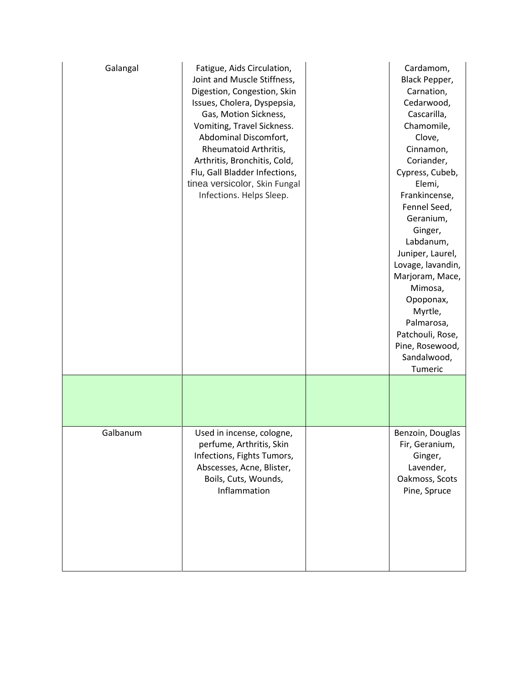| Galangal | Fatigue, Aids Circulation,<br>Joint and Muscle Stiffness,<br>Digestion, Congestion, Skin<br>Issues, Cholera, Dyspepsia,<br>Gas, Motion Sickness,<br>Vomiting, Travel Sickness.<br>Abdominal Discomfort,<br>Rheumatoid Arthritis,<br>Arthritis, Bronchitis, Cold,<br>Flu, Gall Bladder Infections,<br>tinea versicolor, Skin Fungal<br>Infections. Helps Sleep. | Cardamom,<br>Black Pepper,<br>Carnation,<br>Cedarwood,<br>Cascarilla,<br>Chamomile,<br>Clove,<br>Cinnamon,<br>Coriander,<br>Cypress, Cubeb,<br>Elemi,<br>Frankincense,<br>Fennel Seed,<br>Geranium,<br>Ginger,<br>Labdanum,<br>Juniper, Laurel,<br>Lovage, lavandin,<br>Marjoram, Mace,<br>Mimosa,<br>Opoponax,<br>Myrtle,<br>Palmarosa,<br>Patchouli, Rose,<br>Pine, Rosewood,<br>Sandalwood,<br>Tumeric |
|----------|----------------------------------------------------------------------------------------------------------------------------------------------------------------------------------------------------------------------------------------------------------------------------------------------------------------------------------------------------------------|-----------------------------------------------------------------------------------------------------------------------------------------------------------------------------------------------------------------------------------------------------------------------------------------------------------------------------------------------------------------------------------------------------------|
|          |                                                                                                                                                                                                                                                                                                                                                                |                                                                                                                                                                                                                                                                                                                                                                                                           |
| Galbanum | Used in incense, cologne,<br>perfume, Arthritis, Skin<br>Infections, Fights Tumors,<br>Abscesses, Acne, Blister,<br>Boils, Cuts, Wounds,<br>Inflammation                                                                                                                                                                                                       | Benzoin, Douglas<br>Fir, Geranium,<br>Ginger,<br>Lavender,<br>Oakmoss, Scots<br>Pine, Spruce                                                                                                                                                                                                                                                                                                              |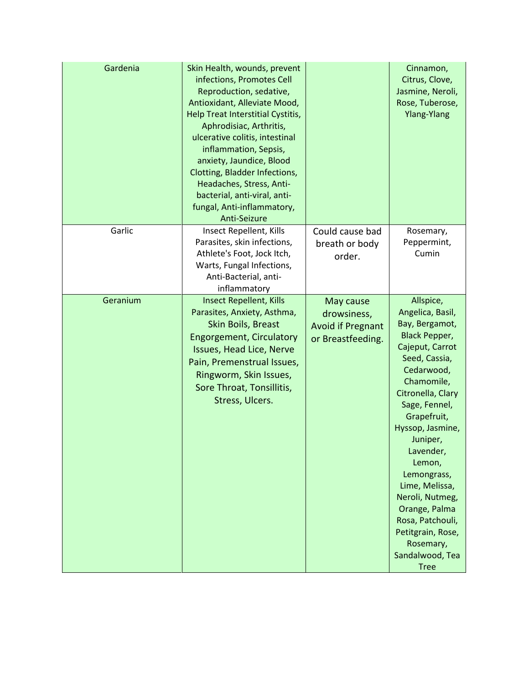| Gardenia | Skin Health, wounds, prevent<br>infections, Promotes Cell<br>Reproduction, sedative,<br>Antioxidant, Alleviate Mood,<br><b>Help Treat Interstitial Cystitis,</b><br>Aphrodisiac, Arthritis,<br>ulcerative colitis, intestinal<br>inflammation, Sepsis,<br>anxiety, Jaundice, Blood<br>Clotting, Bladder Infections,<br>Headaches, Stress, Anti-<br>bacterial, anti-viral, anti-<br>fungal, Anti-inflammatory,<br>Anti-Seizure |                                                                           | Cinnamon,<br>Citrus, Clove,<br>Jasmine, Neroli,<br>Rose, Tuberose,<br><b>Ylang-Ylang</b>                                                                                                                                                                                                                                                                                                                         |
|----------|-------------------------------------------------------------------------------------------------------------------------------------------------------------------------------------------------------------------------------------------------------------------------------------------------------------------------------------------------------------------------------------------------------------------------------|---------------------------------------------------------------------------|------------------------------------------------------------------------------------------------------------------------------------------------------------------------------------------------------------------------------------------------------------------------------------------------------------------------------------------------------------------------------------------------------------------|
| Garlic   | Insect Repellent, Kills<br>Parasites, skin infections,<br>Athlete's Foot, Jock Itch,<br>Warts, Fungal Infections,<br>Anti-Bacterial, anti-<br>inflammatory                                                                                                                                                                                                                                                                    | Could cause bad<br>breath or body<br>order.                               | Rosemary,<br>Peppermint,<br>Cumin                                                                                                                                                                                                                                                                                                                                                                                |
| Geranium | <b>Insect Repellent, Kills</b><br>Parasites, Anxiety, Asthma,<br>Skin Boils, Breast<br><b>Engorgement, Circulatory</b><br>Issues, Head Lice, Nerve<br>Pain, Premenstrual Issues,<br>Ringworm, Skin Issues,<br>Sore Throat, Tonsillitis,<br>Stress, Ulcers.                                                                                                                                                                    | May cause<br>drowsiness,<br><b>Avoid if Pregnant</b><br>or Breastfeeding. | Allspice,<br>Angelica, Basil,<br>Bay, Bergamot,<br><b>Black Pepper,</b><br>Cajeput, Carrot<br>Seed, Cassia,<br>Cedarwood,<br>Chamomile,<br>Citronella, Clary<br>Sage, Fennel,<br>Grapefruit,<br>Hyssop, Jasmine,<br>Juniper,<br>Lavender,<br>Lemon,<br>Lemongrass,<br>Lime, Melissa,<br>Neroli, Nutmeg,<br>Orange, Palma<br>Rosa, Patchouli,<br>Petitgrain, Rose,<br>Rosemary,<br>Sandalwood, Tea<br><b>Tree</b> |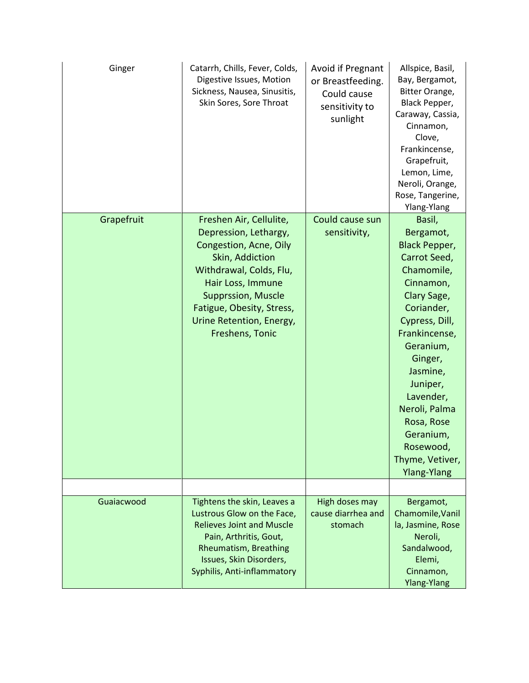| Ginger     | Catarrh, Chills, Fever, Colds,<br>Digestive Issues, Motion<br>Sickness, Nausea, Sinusitis,<br>Skin Sores, Sore Throat                                                                                                                                  | Avoid if Pregnant<br>or Breastfeeding.<br>Could cause<br>sensitivity to<br>sunlight | Allspice, Basil,<br>Bay, Bergamot,<br>Bitter Orange,<br>Black Pepper,<br>Caraway, Cassia,<br>Cinnamon,<br>Clove,<br>Frankincense,<br>Grapefruit,<br>Lemon, Lime,<br>Neroli, Orange,<br>Rose, Tangerine,<br>Ylang-Ylang                                                                                                |
|------------|--------------------------------------------------------------------------------------------------------------------------------------------------------------------------------------------------------------------------------------------------------|-------------------------------------------------------------------------------------|-----------------------------------------------------------------------------------------------------------------------------------------------------------------------------------------------------------------------------------------------------------------------------------------------------------------------|
| Grapefruit | Freshen Air, Cellulite,<br>Depression, Lethargy,<br>Congestion, Acne, Oily<br>Skin, Addiction<br>Withdrawal, Colds, Flu,<br>Hair Loss, Immune<br><b>Supprssion, Muscle</b><br>Fatigue, Obesity, Stress,<br>Urine Retention, Energy,<br>Freshens, Tonic | Could cause sun<br>sensitivity,                                                     | Basil,<br>Bergamot,<br><b>Black Pepper,</b><br>Carrot Seed,<br>Chamomile,<br>Cinnamon,<br>Clary Sage,<br>Coriander,<br>Cypress, Dill,<br>Frankincense,<br>Geranium,<br>Ginger,<br>Jasmine,<br>Juniper,<br>Lavender,<br>Neroli, Palma<br>Rosa, Rose<br>Geranium,<br>Rosewood,<br>Thyme, Vetiver,<br><b>Ylang-Ylang</b> |
|            |                                                                                                                                                                                                                                                        |                                                                                     |                                                                                                                                                                                                                                                                                                                       |
| Guaiacwood | Tightens the skin, Leaves a<br>Lustrous Glow on the Face,<br><b>Relieves Joint and Muscle</b><br>Pain, Arthritis, Gout,<br><b>Rheumatism, Breathing</b><br>Issues, Skin Disorders,<br>Syphilis, Anti-inflammatory                                      | High doses may<br>cause diarrhea and<br>stomach                                     | Bergamot,<br>Chamomile, Vanil<br>la, Jasmine, Rose<br>Neroli,<br>Sandalwood,<br>Elemi,<br>Cinnamon,<br><b>Ylang-Ylang</b>                                                                                                                                                                                             |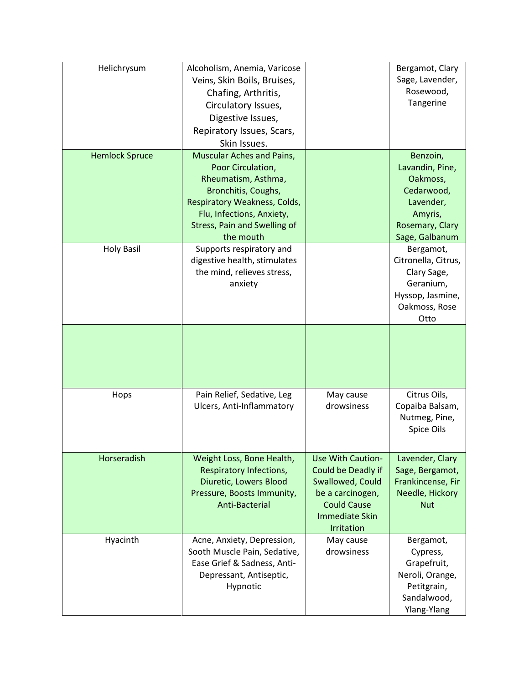| Helichrysum           | Alcoholism, Anemia, Varicose<br>Veins, Skin Boils, Bruises,<br>Chafing, Arthritis,<br>Circulatory Issues,<br>Digestive Issues,<br>Repiratory Issues, Scars,<br>Skin Issues.                                   |                                                                                                                                                     | Bergamot, Clary<br>Sage, Lavender,<br>Rosewood,<br>Tangerine                                                       |
|-----------------------|---------------------------------------------------------------------------------------------------------------------------------------------------------------------------------------------------------------|-----------------------------------------------------------------------------------------------------------------------------------------------------|--------------------------------------------------------------------------------------------------------------------|
| <b>Hemlock Spruce</b> | Muscular Aches and Pains,<br>Poor Circulation,<br>Rheumatism, Asthma,<br>Bronchitis, Coughs,<br>Respiratory Weakness, Colds,<br>Flu, Infections, Anxiety,<br><b>Stress, Pain and Swelling of</b><br>the mouth |                                                                                                                                                     | Benzoin,<br>Lavandin, Pine,<br>Oakmoss,<br>Cedarwood,<br>Lavender,<br>Amyris,<br>Rosemary, Clary<br>Sage, Galbanum |
| <b>Holy Basil</b>     | Supports respiratory and<br>digestive health, stimulates<br>the mind, relieves stress,<br>anxiety                                                                                                             |                                                                                                                                                     | Bergamot,<br>Citronella, Citrus,<br>Clary Sage,<br>Geranium,<br>Hyssop, Jasmine,<br>Oakmoss, Rose<br>Otto          |
|                       |                                                                                                                                                                                                               |                                                                                                                                                     |                                                                                                                    |
| Hops                  | Pain Relief, Sedative, Leg<br>Ulcers, Anti-Inflammatory                                                                                                                                                       | May cause<br>drowsiness                                                                                                                             | Citrus Oils,<br>Copaiba Balsam,<br>Nutmeg, Pine,<br>Spice Oils                                                     |
| Horseradish           | Weight Loss, Bone Health,<br>Respiratory Infections,<br>Diuretic, Lowers Blood<br>Pressure, Boosts Immunity,<br>Anti-Bacterial                                                                                | <b>Use With Caution-</b><br>Could be Deadly if<br>Swallowed, Could<br>be a carcinogen,<br><b>Could Cause</b><br><b>Immediate Skin</b><br>Irritation | Lavender, Clary<br>Sage, Bergamot,<br>Frankincense, Fir<br>Needle, Hickory<br><b>Nut</b>                           |
| Hyacinth              | Acne, Anxiety, Depression,<br>Sooth Muscle Pain, Sedative,<br>Ease Grief & Sadness, Anti-<br>Depressant, Antiseptic,<br>Hypnotic                                                                              | May cause<br>drowsiness                                                                                                                             | Bergamot,<br>Cypress,<br>Grapefruit,<br>Neroli, Orange,<br>Petitgrain,<br>Sandalwood,<br>Ylang-Ylang               |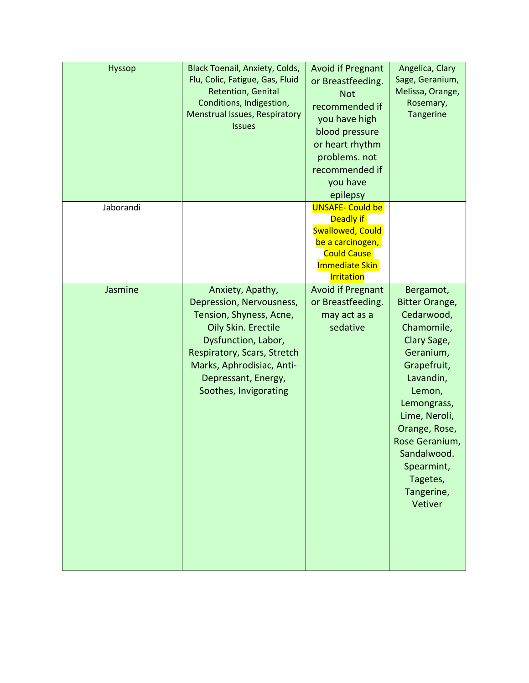| <b>Hyssop</b> | <b>Black Toenail, Anxiety, Colds,</b><br>Flu, Colic, Fatigue, Gas, Fluid<br>Retention, Genital<br>Conditions, Indigestion,<br>Menstrual Issues, Respiratory<br><b>Issues</b>                                                      | <b>Avoid if Pregnant</b><br>or Breastfeeding.<br><b>Not</b><br>recommended if<br>you have high<br>blood pressure<br>or heart rhythm<br>problems. not<br>recommended if<br>you have<br>epilepsy | Angelica, Clary<br>Sage, Geranium,<br>Melissa, Orange,<br>Rosemary,<br>Tangerine                                                                                                                                                                                      |
|---------------|-----------------------------------------------------------------------------------------------------------------------------------------------------------------------------------------------------------------------------------|------------------------------------------------------------------------------------------------------------------------------------------------------------------------------------------------|-----------------------------------------------------------------------------------------------------------------------------------------------------------------------------------------------------------------------------------------------------------------------|
| Jaborandi     |                                                                                                                                                                                                                                   | <b>UNSAFE- Could be</b><br>Deadly if<br><b>Swallowed, Could</b><br>be a carcinogen,<br><b>Could Cause</b><br><b>Immediate Skin</b><br><b>Irritation</b>                                        |                                                                                                                                                                                                                                                                       |
| Jasmine       | Anxiety, Apathy,<br>Depression, Nervousness,<br>Tension, Shyness, Acne,<br>Oily Skin. Erectile<br>Dysfunction, Labor,<br>Respiratory, Scars, Stretch<br>Marks, Aphrodisiac, Anti-<br>Depressant, Energy,<br>Soothes, Invigorating | <b>Avoid if Pregnant</b><br>or Breastfeeding.<br>may act as a<br>sedative                                                                                                                      | Bergamot,<br><b>Bitter Orange,</b><br>Cedarwood,<br>Chamomile,<br>Clary Sage,<br>Geranium,<br>Grapefruit,<br>Lavandin,<br>Lemon,<br>Lemongrass,<br>Lime, Neroli,<br>Orange, Rose,<br>Rose Geranium,<br>Sandalwood.<br>Spearmint,<br>Tagetes,<br>Tangerine,<br>Vetiver |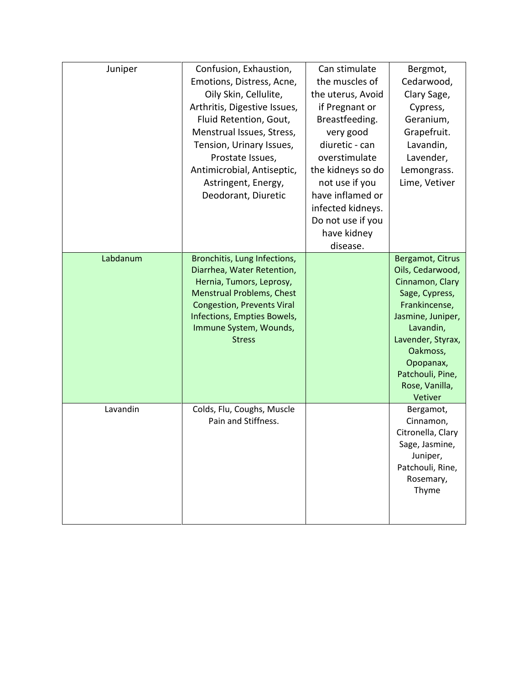| Juniper  | Confusion, Exhaustion,<br>Emotions, Distress, Acne,<br>Oily Skin, Cellulite,<br>Arthritis, Digestive Issues,<br>Fluid Retention, Gout,<br>Menstrual Issues, Stress,<br>Tension, Urinary Issues,<br>Prostate Issues,<br>Antimicrobial, Antiseptic,<br>Astringent, Energy,<br>Deodorant, Diuretic | Can stimulate<br>the muscles of<br>the uterus, Avoid<br>if Pregnant or<br>Breastfeeding.<br>very good<br>diuretic - can<br>overstimulate<br>the kidneys so do<br>not use if you<br>have inflamed or<br>infected kidneys.<br>Do not use if you<br>have kidney<br>disease. | Bergmot,<br>Cedarwood,<br>Clary Sage,<br>Cypress,<br>Geranium,<br>Grapefruit.<br>Lavandin,<br>Lavender,<br>Lemongrass.<br>Lime, Vetiver                                                                                     |
|----------|-------------------------------------------------------------------------------------------------------------------------------------------------------------------------------------------------------------------------------------------------------------------------------------------------|--------------------------------------------------------------------------------------------------------------------------------------------------------------------------------------------------------------------------------------------------------------------------|-----------------------------------------------------------------------------------------------------------------------------------------------------------------------------------------------------------------------------|
| Labdanum | Bronchitis, Lung Infections,<br>Diarrhea, Water Retention,<br>Hernia, Tumors, Leprosy,<br><b>Menstrual Problems, Chest</b><br><b>Congestion, Prevents Viral</b><br>Infections, Empties Bowels,<br>Immune System, Wounds,<br><b>Stress</b>                                                       |                                                                                                                                                                                                                                                                          | Bergamot, Citrus<br>Oils, Cedarwood,<br>Cinnamon, Clary<br>Sage, Cypress,<br>Frankincense,<br>Jasmine, Juniper,<br>Lavandin,<br>Lavender, Styrax,<br>Oakmoss,<br>Opopanax,<br>Patchouli, Pine,<br>Rose, Vanilla,<br>Vetiver |
| Lavandin | Colds, Flu, Coughs, Muscle<br>Pain and Stiffness.                                                                                                                                                                                                                                               |                                                                                                                                                                                                                                                                          | Bergamot,<br>Cinnamon,<br>Citronella, Clary<br>Sage, Jasmine,<br>Juniper,<br>Patchouli, Rine,<br>Rosemary,<br>Thyme                                                                                                         |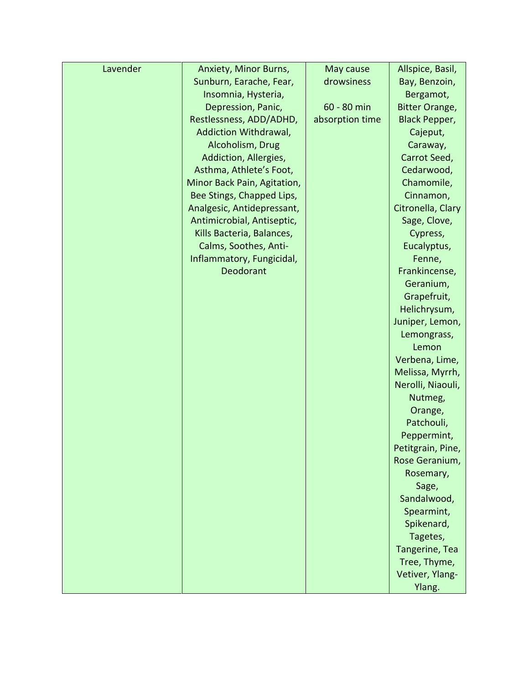| Lavender | Anxiety, Minor Burns,       | May cause       | Allspice, Basil,      |
|----------|-----------------------------|-----------------|-----------------------|
|          | Sunburn, Earache, Fear,     | drowsiness      | Bay, Benzoin,         |
|          | Insomnia, Hysteria,         |                 | Bergamot,             |
|          | Depression, Panic,          | 60 - 80 min     | <b>Bitter Orange,</b> |
|          | Restlessness, ADD/ADHD,     | absorption time | <b>Black Pepper,</b>  |
|          | Addiction Withdrawal,       |                 | Cajeput,              |
|          | Alcoholism, Drug            |                 | Caraway,              |
|          | Addiction, Allergies,       |                 | Carrot Seed,          |
|          | Asthma, Athlete's Foot,     |                 | Cedarwood,            |
|          | Minor Back Pain, Agitation, |                 | Chamomile,            |
|          | Bee Stings, Chapped Lips,   |                 | Cinnamon,             |
|          | Analgesic, Antidepressant,  |                 | Citronella, Clary     |
|          | Antimicrobial, Antiseptic,  |                 | Sage, Clove,          |
|          | Kills Bacteria, Balances,   |                 | Cypress,              |
|          | Calms, Soothes, Anti-       |                 | Eucalyptus,           |
|          | Inflammatory, Fungicidal,   |                 | Fenne,                |
|          | Deodorant                   |                 | Frankincense,         |
|          |                             |                 | Geranium,             |
|          |                             |                 | Grapefruit,           |
|          |                             |                 | Helichrysum,          |
|          |                             |                 | Juniper, Lemon,       |
|          |                             |                 | Lemongrass,           |
|          |                             |                 | Lemon                 |
|          |                             |                 | Verbena, Lime,        |
|          |                             |                 | Melissa, Myrrh,       |
|          |                             |                 | Nerolli, Niaouli,     |
|          |                             |                 | Nutmeg,               |
|          |                             |                 | Orange,               |
|          |                             |                 | Patchouli,            |
|          |                             |                 | Peppermint,           |
|          |                             |                 | Petitgrain, Pine,     |
|          |                             |                 | Rose Geranium,        |
|          |                             |                 | Rosemary,             |
|          |                             |                 | Sage,                 |
|          |                             |                 | Sandalwood,           |
|          |                             |                 | Spearmint,            |
|          |                             |                 | Spikenard,            |
|          |                             |                 | Tagetes,              |
|          |                             |                 | Tangerine, Tea        |
|          |                             |                 | Tree, Thyme,          |
|          |                             |                 | Vetiver, Ylang-       |
|          |                             |                 | Ylang.                |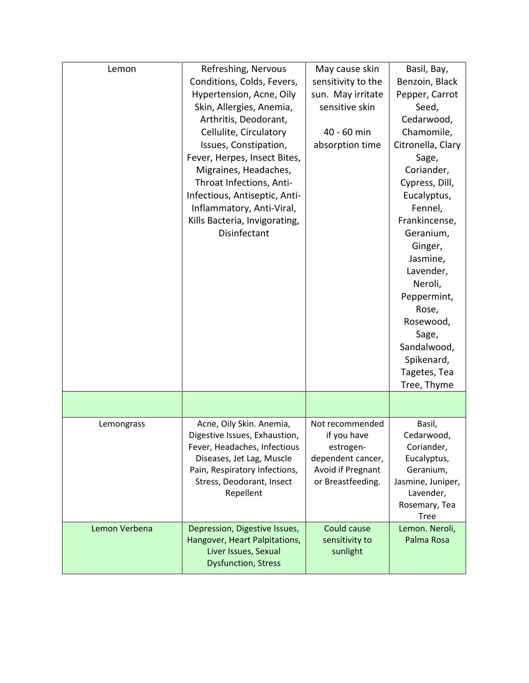| Lemon         | Refreshing, Nervous<br>Conditions, Colds, Fevers,<br>Hypertension, Acne, Oily<br>Skin, Allergies, Anemia,                                                                                                                                                                    | May cause skin<br>sensitivity to the<br>sun. May irritate<br>sensitive skin                                | Basil, Bay,<br>Benzoin, Black<br>Pepper, Carrot<br>Seed,                                                                                                                                                                                                                                                |
|---------------|------------------------------------------------------------------------------------------------------------------------------------------------------------------------------------------------------------------------------------------------------------------------------|------------------------------------------------------------------------------------------------------------|---------------------------------------------------------------------------------------------------------------------------------------------------------------------------------------------------------------------------------------------------------------------------------------------------------|
|               | Arthritis, Deodorant,<br>Cellulite, Circulatory<br>Issues, Constipation,<br>Fever, Herpes, Insect Bites,<br>Migraines, Headaches,<br>Throat Infections, Anti-<br>Infectious, Antiseptic, Anti-<br>Inflammatory, Anti-Viral,<br>Kills Bacteria, Invigorating,<br>Disinfectant | 40 - 60 min<br>absorption time                                                                             | Cedarwood,<br>Chamomile,<br>Citronella, Clary<br>Sage,<br>Coriander,<br>Cypress, Dill,<br>Eucalyptus,<br>Fennel,<br>Frankincense,<br>Geranium,<br>Ginger,<br>Jasmine,<br>Lavender,<br>Neroli,<br>Peppermint,<br>Rose,<br>Rosewood,<br>Sage,<br>Sandalwood,<br>Spikenard,<br>Tagetes, Tea<br>Tree, Thyme |
|               |                                                                                                                                                                                                                                                                              |                                                                                                            |                                                                                                                                                                                                                                                                                                         |
| Lemongrass    | Acne, Oily Skin. Anemia,<br>Digestive Issues, Exhaustion,<br>Fever, Headaches, Infectious<br>Diseases, Jet Lag, Muscle<br>Pain, Respiratory Infections,<br>Stress, Deodorant, Insect<br>Repellent                                                                            | Not recommended<br>if you have<br>estrogen-<br>dependent cancer,<br>Avoid if Pregnant<br>or Breastfeeding. | Basil,<br>Cedarwood,<br>Coriander,<br>Eucalyptus,<br>Geranium,<br>Jasmine, Juniper,<br>Lavender,<br>Rosemary, Tea<br><b>Tree</b>                                                                                                                                                                        |
| Lemon Verbena | Depression, Digestive Issues,<br>Hangover, Heart Palpitations,<br>Liver Issues, Sexual<br><b>Dysfunction, Stress</b>                                                                                                                                                         | Could cause<br>sensitivity to<br>sunlight                                                                  | Lemon. Neroli,<br>Palma Rosa                                                                                                                                                                                                                                                                            |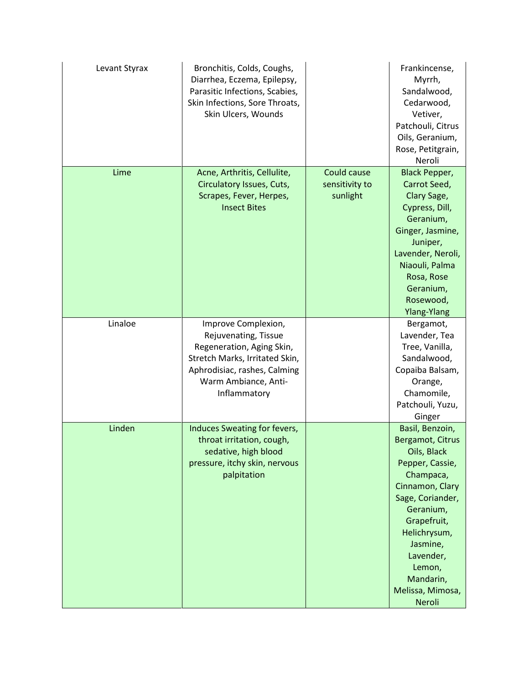| Levant Styrax | Bronchitis, Colds, Coughs,<br>Diarrhea, Eczema, Epilepsy,<br>Parasitic Infections, Scabies,<br>Skin Infections, Sore Throats,<br>Skin Ulcers, Wounds                               |                                           | Frankincense,<br>Myrrh,<br>Sandalwood,<br>Cedarwood,<br>Vetiver,<br>Patchouli, Citrus<br>Oils, Geranium,<br>Rose, Petitgrain,<br>Neroli                                                                                                             |
|---------------|------------------------------------------------------------------------------------------------------------------------------------------------------------------------------------|-------------------------------------------|-----------------------------------------------------------------------------------------------------------------------------------------------------------------------------------------------------------------------------------------------------|
| Lime          | Acne, Arthritis, Cellulite,<br>Circulatory Issues, Cuts,<br>Scrapes, Fever, Herpes,<br><b>Insect Bites</b>                                                                         | Could cause<br>sensitivity to<br>sunlight | <b>Black Pepper,</b><br>Carrot Seed,<br>Clary Sage,<br>Cypress, Dill,<br>Geranium,<br>Ginger, Jasmine,<br>Juniper,<br>Lavender, Neroli,<br>Niaouli, Palma<br>Rosa, Rose<br>Geranium,<br>Rosewood,<br>Ylang-Ylang                                    |
| Linaloe       | Improve Complexion,<br>Rejuvenating, Tissue<br>Regeneration, Aging Skin,<br>Stretch Marks, Irritated Skin,<br>Aphrodisiac, rashes, Calming<br>Warm Ambiance, Anti-<br>Inflammatory |                                           | Bergamot,<br>Lavender, Tea<br>Tree, Vanilla,<br>Sandalwood,<br>Copaiba Balsam,<br>Orange,<br>Chamomile,<br>Patchouli, Yuzu,<br>Ginger                                                                                                               |
| Linden        | Induces Sweating for fevers,<br>throat irritation, cough,<br>sedative, high blood<br>pressure, itchy skin, nervous<br>palpitation                                                  |                                           | Basil, Benzoin,<br>Bergamot, Citrus<br>Oils, Black<br>Pepper, Cassie,<br>Champaca,<br>Cinnamon, Clary<br>Sage, Coriander,<br>Geranium,<br>Grapefruit,<br>Helichrysum,<br>Jasmine,<br>Lavender,<br>Lemon,<br>Mandarin,<br>Melissa, Mimosa,<br>Neroli |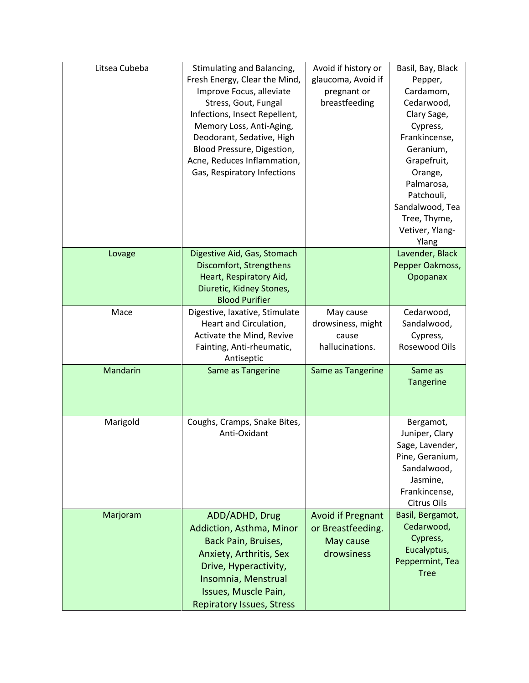| Litsea Cubeba | Stimulating and Balancing,<br>Fresh Energy, Clear the Mind,<br>Improve Focus, alleviate<br>Stress, Gout, Fungal<br>Infections, Insect Repellent,<br>Memory Loss, Anti-Aging,<br>Deodorant, Sedative, High<br>Blood Pressure, Digestion,<br>Acne, Reduces Inflammation,<br>Gas, Respiratory Infections | Avoid if history or<br>glaucoma, Avoid if<br>pregnant or<br>breastfeeding | Basil, Bay, Black<br>Pepper,<br>Cardamom,<br>Cedarwood,<br>Clary Sage,<br>Cypress,<br>Frankincense,<br>Geranium,<br>Grapefruit,<br>Orange,<br>Palmarosa,<br>Patchouli,<br>Sandalwood, Tea<br>Tree, Thyme,<br>Vetiver, Ylang-<br>Ylang |
|---------------|-------------------------------------------------------------------------------------------------------------------------------------------------------------------------------------------------------------------------------------------------------------------------------------------------------|---------------------------------------------------------------------------|---------------------------------------------------------------------------------------------------------------------------------------------------------------------------------------------------------------------------------------|
| Lovage        | Digestive Aid, Gas, Stomach                                                                                                                                                                                                                                                                           |                                                                           | Lavender, Black                                                                                                                                                                                                                       |
|               | Discomfort, Strengthens<br>Heart, Respiratory Aid,<br>Diuretic, Kidney Stones,<br><b>Blood Purifier</b>                                                                                                                                                                                               |                                                                           | Pepper Oakmoss,<br>Opopanax                                                                                                                                                                                                           |
| Mace          | Digestive, laxative, Stimulate                                                                                                                                                                                                                                                                        | May cause                                                                 | Cedarwood,                                                                                                                                                                                                                            |
|               | Heart and Circulation,<br>Activate the Mind, Revive                                                                                                                                                                                                                                                   | drowsiness, might<br>cause                                                | Sandalwood,<br>Cypress,                                                                                                                                                                                                               |
|               | Fainting, Anti-rheumatic,<br>Antiseptic                                                                                                                                                                                                                                                               | hallucinations.                                                           | Rosewood Oils                                                                                                                                                                                                                         |
| Mandarin      | Same as Tangerine                                                                                                                                                                                                                                                                                     | Same as Tangerine                                                         | Same as<br>Tangerine                                                                                                                                                                                                                  |
| Marigold      | Coughs, Cramps, Snake Bites,<br>Anti-Oxidant                                                                                                                                                                                                                                                          |                                                                           | Bergamot,<br>Juniper, Clary<br>Sage, Lavender,<br>Pine, Geranium,<br>Sandalwood,<br>Jasmine,<br>Frankincense,<br>Citrus Oils                                                                                                          |
| Marjoram      | ADD/ADHD, Drug<br>Addiction, Asthma, Minor<br>Back Pain, Bruises,<br>Anxiety, Arthritis, Sex<br>Drive, Hyperactivity,<br>Insomnia, Menstrual<br>Issues, Muscle Pain,<br><b>Repiratory Issues, Stress</b>                                                                                              | <b>Avoid if Pregnant</b><br>or Breastfeeding.<br>May cause<br>drowsiness  | Basil, Bergamot,<br>Cedarwood,<br>Cypress,<br>Eucalyptus,<br>Peppermint, Tea<br><b>Tree</b>                                                                                                                                           |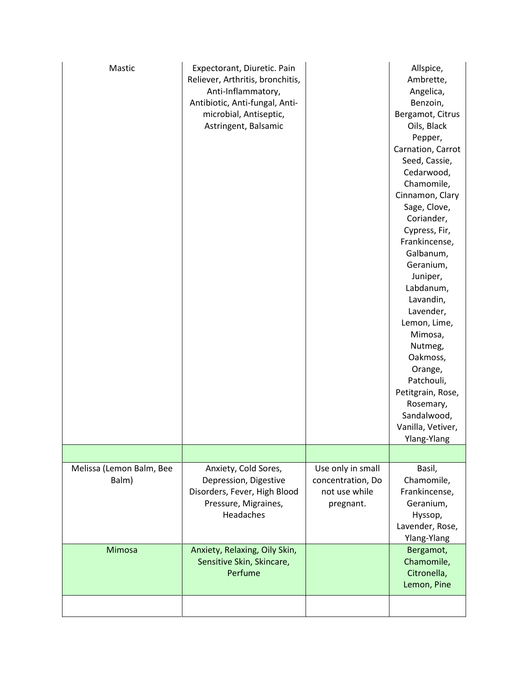| Mastic                            | Expectorant, Diuretic. Pain<br>Reliever, Arthritis, bronchitis,<br>Anti-Inflammatory,<br>Antibiotic, Anti-fungal, Anti-<br>microbial, Antiseptic,<br>Astringent, Balsamic |                                                                      | Allspice,<br>Ambrette,<br>Angelica,<br>Benzoin,<br>Bergamot, Citrus<br>Oils, Black<br>Pepper,<br>Carnation, Carrot<br>Seed, Cassie,<br>Cedarwood,<br>Chamomile,<br>Cinnamon, Clary<br>Sage, Clove,<br>Coriander,<br>Cypress, Fir,<br>Frankincense,<br>Galbanum,<br>Geranium,<br>Juniper,<br>Labdanum,<br>Lavandin,<br>Lavender,<br>Lemon, Lime,<br>Mimosa,<br>Nutmeg,<br>Oakmoss,<br>Orange,<br>Patchouli,<br>Petitgrain, Rose,<br>Rosemary,<br>Sandalwood,<br>Vanilla, Vetiver,<br>Ylang-Ylang |
|-----------------------------------|---------------------------------------------------------------------------------------------------------------------------------------------------------------------------|----------------------------------------------------------------------|-------------------------------------------------------------------------------------------------------------------------------------------------------------------------------------------------------------------------------------------------------------------------------------------------------------------------------------------------------------------------------------------------------------------------------------------------------------------------------------------------|
|                                   |                                                                                                                                                                           |                                                                      |                                                                                                                                                                                                                                                                                                                                                                                                                                                                                                 |
| Melissa (Lemon Balm, Bee<br>Balm) | Anxiety, Cold Sores,<br>Depression, Digestive<br>Disorders, Fever, High Blood<br>Pressure, Migraines,<br>Headaches                                                        | Use only in small<br>concentration, Do<br>not use while<br>pregnant. | Basil,<br>Chamomile,<br>Frankincense,<br>Geranium,<br>Hyssop,<br>Lavender, Rose,<br>Ylang-Ylang                                                                                                                                                                                                                                                                                                                                                                                                 |
| Mimosa                            | Anxiety, Relaxing, Oily Skin,<br>Sensitive Skin, Skincare,<br>Perfume                                                                                                     |                                                                      | Bergamot,<br>Chamomile,<br>Citronella,<br>Lemon, Pine                                                                                                                                                                                                                                                                                                                                                                                                                                           |
|                                   |                                                                                                                                                                           |                                                                      |                                                                                                                                                                                                                                                                                                                                                                                                                                                                                                 |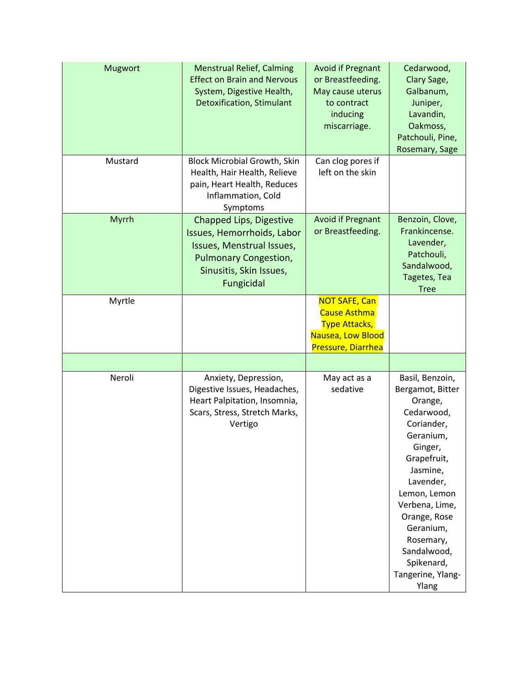| <b>Mugwort</b> | <b>Menstrual Relief, Calming</b><br><b>Effect on Brain and Nervous</b><br>System, Digestive Health,<br><b>Detoxification, Stimulant</b>                     | <b>Avoid if Pregnant</b><br>or Breastfeeding.<br>May cause uterus<br>to contract<br>inducing<br>miscarriage.   | Cedarwood,<br>Clary Sage,<br>Galbanum,<br>Juniper,<br>Lavandin,<br>Oakmoss,<br>Patchouli, Pine,<br>Rosemary, Sage                                                                                                                                                                 |
|----------------|-------------------------------------------------------------------------------------------------------------------------------------------------------------|----------------------------------------------------------------------------------------------------------------|-----------------------------------------------------------------------------------------------------------------------------------------------------------------------------------------------------------------------------------------------------------------------------------|
| Mustard        | <b>Block Microbial Growth, Skin</b><br>Health, Hair Health, Relieve<br>pain, Heart Health, Reduces<br>Inflammation, Cold<br>Symptoms                        | Can clog pores if<br>left on the skin                                                                          |                                                                                                                                                                                                                                                                                   |
| Myrrh          | Chapped Lips, Digestive<br>Issues, Hemorrhoids, Labor<br>Issues, Menstrual Issues,<br><b>Pulmonary Congestion,</b><br>Sinusitis, Skin Issues,<br>Fungicidal | <b>Avoid if Pregnant</b><br>or Breastfeeding.                                                                  | Benzoin, Clove,<br>Frankincense.<br>Lavender,<br>Patchouli,<br>Sandalwood,<br>Tagetes, Tea<br><b>Tree</b>                                                                                                                                                                         |
| Myrtle         |                                                                                                                                                             | <b>NOT SAFE, Can</b><br><b>Cause Asthma</b><br><b>Type Attacks,</b><br>Nausea, Low Blood<br>Pressure, Diarrhea |                                                                                                                                                                                                                                                                                   |
|                |                                                                                                                                                             |                                                                                                                |                                                                                                                                                                                                                                                                                   |
| Neroli         | Anxiety, Depression,<br>Digestive Issues, Headaches,<br>Heart Palpitation, Insomnia,<br>Scars, Stress, Stretch Marks,<br>Vertigo                            | May act as a<br>sedative                                                                                       | Basil, Benzoin,<br>Bergamot, Bitter<br>Orange,<br>Cedarwood,<br>Coriander,<br>Geranium,<br>Ginger,<br>Grapefruit,<br>Jasmine,<br>Lavender,<br>Lemon, Lemon<br>Verbena, Lime,<br>Orange, Rose<br>Geranium,<br>Rosemary,<br>Sandalwood,<br>Spikenard,<br>Tangerine, Ylang-<br>Ylang |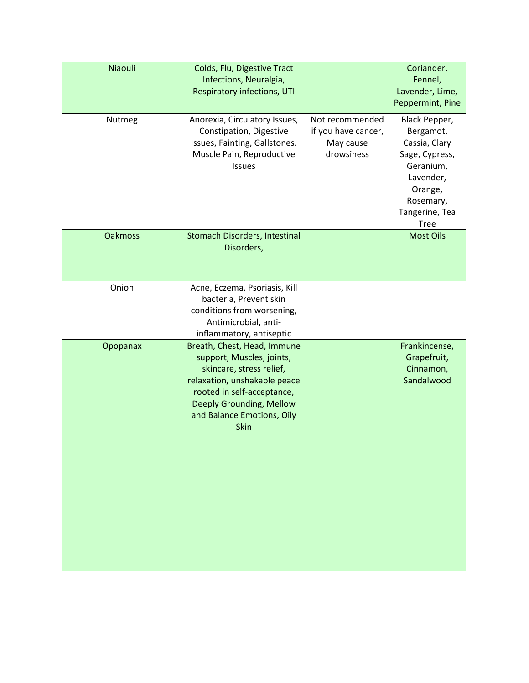| Niaouli        | Colds, Flu, Digestive Tract<br>Infections, Neuralgia,<br><b>Respiratory infections, UTI</b>                                                                                                                          |                                                                   | Coriander,<br>Fennel,<br>Lavender, Lime,<br>Peppermint, Pine                                                                                     |
|----------------|----------------------------------------------------------------------------------------------------------------------------------------------------------------------------------------------------------------------|-------------------------------------------------------------------|--------------------------------------------------------------------------------------------------------------------------------------------------|
| Nutmeg         | Anorexia, Circulatory Issues,<br>Constipation, Digestive<br>Issues, Fainting, Gallstones.<br>Muscle Pain, Reproductive<br>Issues                                                                                     | Not recommended<br>if you have cancer,<br>May cause<br>drowsiness | Black Pepper,<br>Bergamot,<br>Cassia, Clary<br>Sage, Cypress,<br>Geranium,<br>Lavender,<br>Orange,<br>Rosemary,<br>Tangerine, Tea<br><b>Tree</b> |
| <b>Oakmoss</b> | Stomach Disorders, Intestinal<br>Disorders,                                                                                                                                                                          |                                                                   | <b>Most Oils</b>                                                                                                                                 |
| Onion          | Acne, Eczema, Psoriasis, Kill<br>bacteria, Prevent skin<br>conditions from worsening,<br>Antimicrobial, anti-<br>inflammatory, antiseptic                                                                            |                                                                   |                                                                                                                                                  |
| Opopanax       | Breath, Chest, Head, Immune<br>support, Muscles, joints,<br>skincare, stress relief,<br>relaxation, unshakable peace<br>rooted in self-acceptance,<br>Deeply Grounding, Mellow<br>and Balance Emotions, Oily<br>Skin |                                                                   | Frankincense,<br>Grapefruit,<br>Cinnamon,<br>Sandalwood                                                                                          |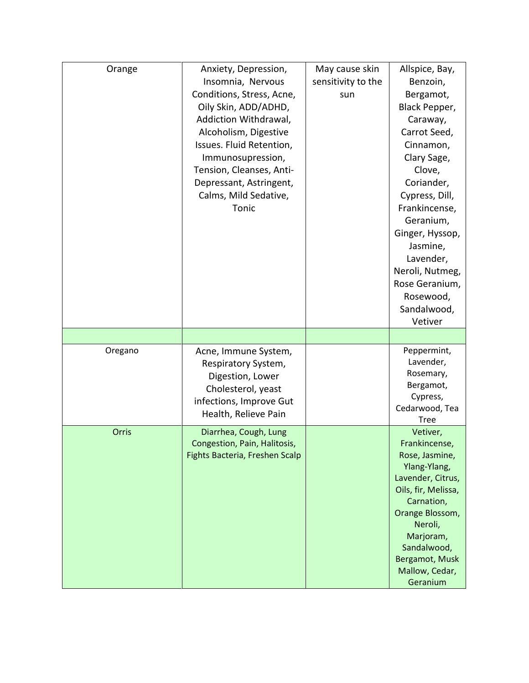| Orange  | Anxiety, Depression,           | May cause skin     | Allspice, Bay,             |
|---------|--------------------------------|--------------------|----------------------------|
|         | Insomnia, Nervous              | sensitivity to the | Benzoin,                   |
|         | Conditions, Stress, Acne,      | sun                | Bergamot,                  |
|         | Oily Skin, ADD/ADHD,           |                    | Black Pepper,              |
|         | Addiction Withdrawal,          |                    | Caraway,                   |
|         | Alcoholism, Digestive          |                    | Carrot Seed,               |
|         | Issues. Fluid Retention,       |                    | Cinnamon,                  |
|         | Immunosupression,              |                    | Clary Sage,                |
|         | Tension, Cleanses, Anti-       |                    | Clove,                     |
|         | Depressant, Astringent,        |                    | Coriander,                 |
|         | Calms, Mild Sedative,          |                    | Cypress, Dill,             |
|         | Tonic                          |                    | Frankincense,              |
|         |                                |                    | Geranium,                  |
|         |                                |                    | Ginger, Hyssop,            |
|         |                                |                    | Jasmine,                   |
|         |                                |                    | Lavender,                  |
|         |                                |                    | Neroli, Nutmeg,            |
|         |                                |                    | Rose Geranium,             |
|         |                                |                    | Rosewood,                  |
|         |                                |                    | Sandalwood,                |
|         |                                |                    | Vetiver                    |
|         |                                |                    |                            |
| Oregano | Acne, Immune System,           |                    | Peppermint,                |
|         | Respiratory System,            |                    | Lavender,                  |
|         | Digestion, Lower               |                    | Rosemary,                  |
|         | Cholesterol, yeast             |                    | Bergamot,                  |
|         | infections, Improve Gut        |                    | Cypress,<br>Cedarwood, Tea |
|         | Health, Relieve Pain           |                    | <b>Tree</b>                |
| Orris   | Diarrhea, Cough, Lung          |                    | Vetiver,                   |
|         | Congestion, Pain, Halitosis,   |                    | Frankincense,              |
|         | Fights Bacteria, Freshen Scalp |                    | Rose, Jasmine,             |
|         |                                |                    | Ylang-Ylang,               |
|         |                                |                    | Lavender, Citrus,          |
|         |                                |                    | Oils, fir, Melissa,        |
|         |                                |                    | Carnation,                 |
|         |                                |                    | Orange Blossom,            |
|         |                                |                    | Neroli,                    |
|         |                                |                    | Marjoram,<br>Sandalwood,   |
|         |                                |                    | Bergamot, Musk             |
|         |                                |                    |                            |
|         |                                |                    | Mallow, Cedar,             |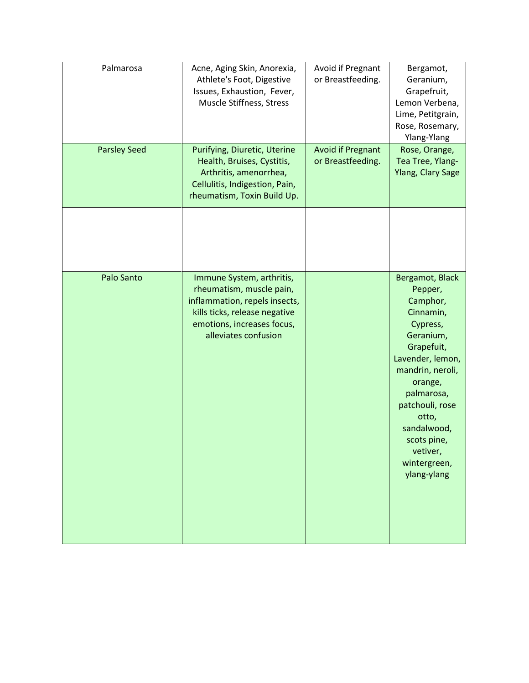| Palmarosa           | Acne, Aging Skin, Anorexia,<br>Athlete's Foot, Digestive<br>Issues, Exhaustion, Fever,<br>Muscle Stiffness, Stress                                                            | Avoid if Pregnant<br>or Breastfeeding.        | Bergamot,<br>Geranium,<br>Grapefruit,<br>Lemon Verbena,<br>Lime, Petitgrain,<br>Rose, Rosemary,<br>Ylang-Ylang                                                                                                                                                   |
|---------------------|-------------------------------------------------------------------------------------------------------------------------------------------------------------------------------|-----------------------------------------------|------------------------------------------------------------------------------------------------------------------------------------------------------------------------------------------------------------------------------------------------------------------|
| <b>Parsley Seed</b> | Purifying, Diuretic, Uterine<br>Health, Bruises, Cystitis,<br>Arthritis, amenorrhea,<br>Cellulitis, Indigestion, Pain,<br>rheumatism, Toxin Build Up.                         | <b>Avoid if Pregnant</b><br>or Breastfeeding. | Rose, Orange,<br>Tea Tree, Ylang-<br><b>Ylang, Clary Sage</b>                                                                                                                                                                                                    |
|                     |                                                                                                                                                                               |                                               |                                                                                                                                                                                                                                                                  |
| Palo Santo          | Immune System, arthritis,<br>rheumatism, muscle pain,<br>inflammation, repels insects,<br>kills ticks, release negative<br>emotions, increases focus,<br>alleviates confusion |                                               | Bergamot, Black<br>Pepper,<br>Camphor,<br>Cinnamin,<br>Cypress,<br>Geranium,<br>Grapefuit,<br>Lavender, lemon,<br>mandrin, neroli,<br>orange,<br>palmarosa,<br>patchouli, rose<br>otto,<br>sandalwood,<br>scots pine,<br>vetiver,<br>wintergreen,<br>ylang-ylang |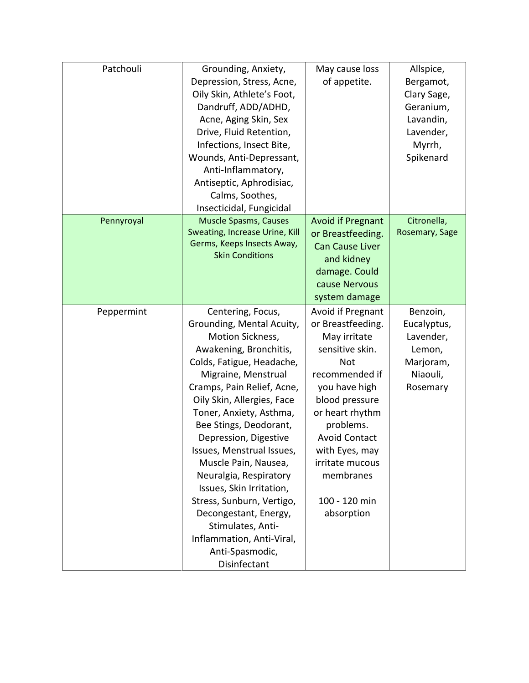| Patchouli  | Grounding, Anxiety,            | May cause loss           | Allspice,      |
|------------|--------------------------------|--------------------------|----------------|
|            | Depression, Stress, Acne,      | of appetite.             | Bergamot,      |
|            | Oily Skin, Athlete's Foot,     |                          | Clary Sage,    |
|            | Dandruff, ADD/ADHD,            |                          | Geranium,      |
|            | Acne, Aging Skin, Sex          |                          | Lavandin,      |
|            | Drive, Fluid Retention,        |                          | Lavender,      |
|            | Infections, Insect Bite,       |                          | Myrrh,         |
|            | Wounds, Anti-Depressant,       |                          | Spikenard      |
|            | Anti-Inflammatory,             |                          |                |
|            | Antiseptic, Aphrodisiac,       |                          |                |
|            | Calms, Soothes,                |                          |                |
|            | Insecticidal, Fungicidal       |                          |                |
| Pennyroyal | <b>Muscle Spasms, Causes</b>   | <b>Avoid if Pregnant</b> | Citronella,    |
|            | Sweating, Increase Urine, Kill | or Breastfeeding.        | Rosemary, Sage |
|            | Germs, Keeps Insects Away,     | <b>Can Cause Liver</b>   |                |
|            | <b>Skin Conditions</b>         | and kidney               |                |
|            |                                | damage. Could            |                |
|            |                                | cause Nervous            |                |
|            |                                | system damage            |                |
| Peppermint | Centering, Focus,              | Avoid if Pregnant        | Benzoin,       |
|            | Grounding, Mental Acuity,      | or Breastfeeding.        | Eucalyptus,    |
|            | Motion Sickness,               | May irritate             | Lavender,      |
|            | Awakening, Bronchitis,         | sensitive skin.          | Lemon,         |
|            | Colds, Fatigue, Headache,      | <b>Not</b>               | Marjoram,      |
|            | Migraine, Menstrual            | recommended if           | Niaouli,       |
|            | Cramps, Pain Relief, Acne,     | you have high            | Rosemary       |
|            | Oily Skin, Allergies, Face     | blood pressure           |                |
|            | Toner, Anxiety, Asthma,        | or heart rhythm          |                |
|            | Bee Stings, Deodorant,         | problems.                |                |
|            | Depression, Digestive          | <b>Avoid Contact</b>     |                |
|            | Issues, Menstrual Issues,      | with Eyes, may           |                |
|            | Muscle Pain, Nausea,           | irritate mucous          |                |
|            | Neuralgia, Respiratory         | membranes                |                |
|            | Issues, Skin Irritation,       |                          |                |
|            | Stress, Sunburn, Vertigo,      | 100 - 120 min            |                |
|            | Decongestant, Energy,          | absorption               |                |
|            | Stimulates, Anti-              |                          |                |
|            | Inflammation, Anti-Viral,      |                          |                |
|            | Anti-Spasmodic,                |                          |                |
|            | Disinfectant                   |                          |                |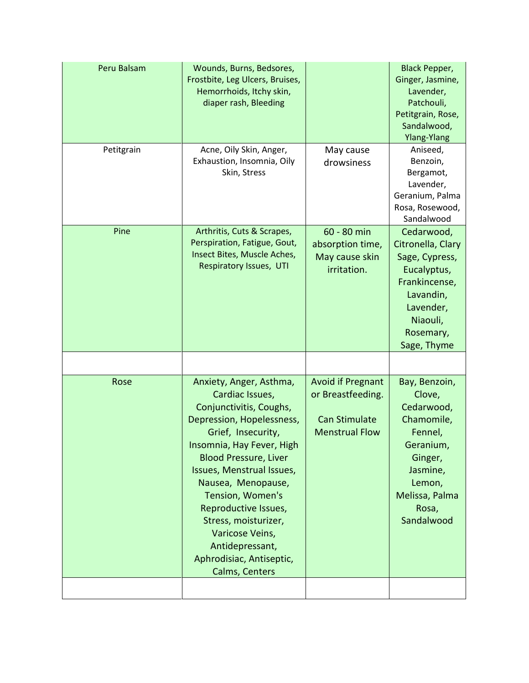| Peru Balsam<br>Petitgrain | Wounds, Burns, Bedsores,<br>Frostbite, Leg Ulcers, Bruises,<br>Hemorrhoids, Itchy skin,<br>diaper rash, Bleeding<br>Acne, Oily Skin, Anger,<br>Exhaustion, Insomnia, Oily<br>Skin, Stress                                                                                                                                                                                                        | May cause<br>drowsiness                                                                        | <b>Black Pepper,</b><br>Ginger, Jasmine,<br>Lavender,<br>Patchouli,<br>Petitgrain, Rose,<br>Sandalwood,<br>Ylang-Ylang<br>Aniseed,<br>Benzoin,<br>Bergamot,<br>Lavender,<br>Geranium, Palma<br>Rosa, Rosewood,<br>Sandalwood |
|---------------------------|--------------------------------------------------------------------------------------------------------------------------------------------------------------------------------------------------------------------------------------------------------------------------------------------------------------------------------------------------------------------------------------------------|------------------------------------------------------------------------------------------------|------------------------------------------------------------------------------------------------------------------------------------------------------------------------------------------------------------------------------|
| Pine                      | Arthritis, Cuts & Scrapes,<br>Perspiration, Fatigue, Gout,<br>Insect Bites, Muscle Aches,<br>Respiratory Issues, UTI                                                                                                                                                                                                                                                                             | 60 - 80 min<br>absorption time,<br>May cause skin<br>irritation.                               | Cedarwood,<br>Citronella, Clary<br>Sage, Cypress,<br>Eucalyptus,<br>Frankincense,<br>Lavandin,<br>Lavender,<br>Niaouli,<br>Rosemary,<br>Sage, Thyme                                                                          |
| Rose                      | Anxiety, Anger, Asthma,<br>Cardiac Issues,<br>Conjunctivitis, Coughs,<br>Depression, Hopelessness,<br>Grief, Insecurity,<br>Insomnia, Hay Fever, High<br><b>Blood Pressure, Liver</b><br>Issues, Menstrual Issues,<br>Nausea, Menopause,<br>Tension, Women's<br>Reproductive Issues,<br>Stress, moisturizer,<br>Varicose Veins,<br>Antidepressant,<br>Aphrodisiac, Antiseptic,<br>Calms, Centers | <b>Avoid if Pregnant</b><br>or Breastfeeding.<br><b>Can Stimulate</b><br><b>Menstrual Flow</b> | Bay, Benzoin,<br>Clove,<br>Cedarwood,<br>Chamomile,<br>Fennel,<br>Geranium,<br>Ginger,<br>Jasmine,<br>Lemon,<br>Melissa, Palma<br>Rosa,<br>Sandalwood                                                                        |
|                           |                                                                                                                                                                                                                                                                                                                                                                                                  |                                                                                                |                                                                                                                                                                                                                              |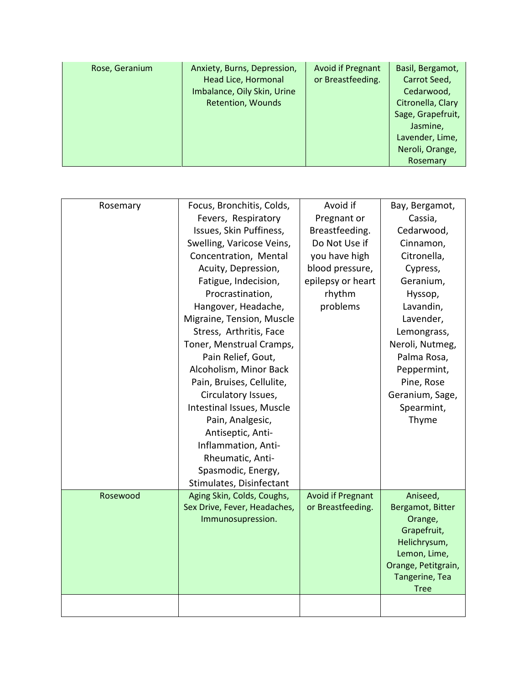| Rose, Geranium | Anxiety, Burns, Depression,<br>Head Lice, Hormonal<br>Imbalance, Oily Skin, Urine<br><b>Retention, Wounds</b> | <b>Avoid if Pregnant</b><br>or Breastfeeding. | Basil, Bergamot,<br>Carrot Seed,<br>Cedarwood,<br>Citronella, Clary<br>Sage, Grapefruit,<br>Jasmine,<br>Lavender, Lime,<br>Neroli, Orange,<br>Rosemary |
|----------------|---------------------------------------------------------------------------------------------------------------|-----------------------------------------------|--------------------------------------------------------------------------------------------------------------------------------------------------------|
|----------------|---------------------------------------------------------------------------------------------------------------|-----------------------------------------------|--------------------------------------------------------------------------------------------------------------------------------------------------------|

| Rosemary | Focus, Bronchitis, Colds,    | Avoid if                 | Bay, Bergamot,                      |
|----------|------------------------------|--------------------------|-------------------------------------|
|          | Fevers, Respiratory          | Pregnant or              | Cassia,                             |
|          | Issues, Skin Puffiness,      | Breastfeeding.           | Cedarwood,                          |
|          | Swelling, Varicose Veins,    | Do Not Use if            | Cinnamon,                           |
|          | Concentration, Mental        | you have high            | Citronella,                         |
|          | Acuity, Depression,          | blood pressure,          | Cypress,                            |
|          | Fatigue, Indecision,         | epilepsy or heart        | Geranium,                           |
|          | Procrastination,             | rhythm                   | Hyssop,                             |
|          | Hangover, Headache,          | problems                 | Lavandin,                           |
|          | Migraine, Tension, Muscle    |                          | Lavender,                           |
|          | Stress, Arthritis, Face      |                          | Lemongrass,                         |
|          | Toner, Menstrual Cramps,     |                          | Neroli, Nutmeg,                     |
|          | Pain Relief, Gout,           |                          | Palma Rosa,                         |
|          | Alcoholism, Minor Back       |                          | Peppermint,                         |
|          | Pain, Bruises, Cellulite,    |                          | Pine, Rose                          |
|          | Circulatory Issues,          |                          | Geranium, Sage,                     |
|          | Intestinal Issues, Muscle    |                          | Spearmint,                          |
|          | Pain, Analgesic,             |                          | Thyme                               |
|          | Antiseptic, Anti-            |                          |                                     |
|          | Inflammation, Anti-          |                          |                                     |
|          | Rheumatic, Anti-             |                          |                                     |
|          | Spasmodic, Energy,           |                          |                                     |
|          | Stimulates, Disinfectant     |                          |                                     |
| Rosewood | Aging Skin, Colds, Coughs,   | <b>Avoid if Pregnant</b> | Aniseed,                            |
|          | Sex Drive, Fever, Headaches, | or Breastfeeding.        | Bergamot, Bitter                    |
|          | Immunosupression.            |                          | Orange,                             |
|          |                              |                          | Grapefruit,                         |
|          |                              |                          | Helichrysum,                        |
|          |                              |                          | Lemon, Lime,<br>Orange, Petitgrain, |
|          |                              |                          | Tangerine, Tea                      |
|          |                              |                          | <b>Tree</b>                         |
|          |                              |                          |                                     |
|          |                              |                          |                                     |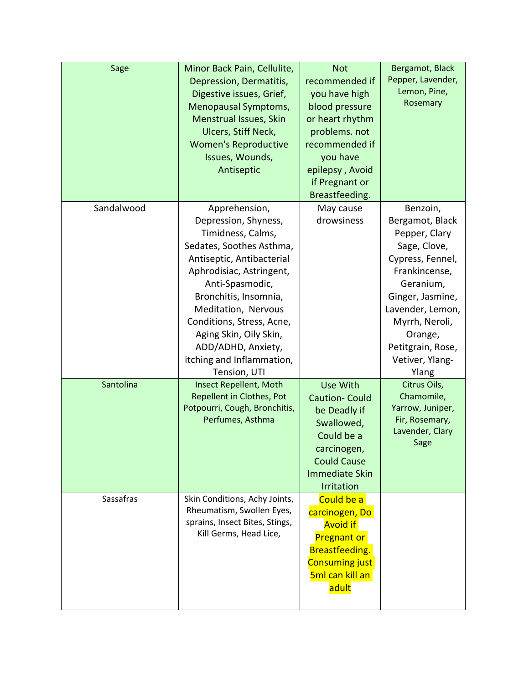| Sage       | Minor Back Pain, Cellulite,<br>Depression, Dermatitis,<br>Digestive issues, Grief,<br>Menopausal Symptoms,<br><b>Menstrual Issues, Skin</b><br>Ulcers, Stiff Neck,<br><b>Women's Reproductive</b><br>Issues, Wounds,<br>Antiseptic                                                                                                           | <b>Not</b><br>recommended if<br>you have high<br>blood pressure<br>or heart rhythm<br>problems. not<br>recommended if<br>you have<br>epilepsy, Avoid<br>if Pregnant or<br>Breastfeeding. | Bergamot, Black<br>Pepper, Lavender,<br>Lemon, Pine,<br>Rosemary                                                                                                                                                                     |
|------------|----------------------------------------------------------------------------------------------------------------------------------------------------------------------------------------------------------------------------------------------------------------------------------------------------------------------------------------------|------------------------------------------------------------------------------------------------------------------------------------------------------------------------------------------|--------------------------------------------------------------------------------------------------------------------------------------------------------------------------------------------------------------------------------------|
| Sandalwood | Apprehension,<br>Depression, Shyness,<br>Timidness, Calms,<br>Sedates, Soothes Asthma,<br>Antiseptic, Antibacterial<br>Aphrodisiac, Astringent,<br>Anti-Spasmodic,<br>Bronchitis, Insomnia,<br>Meditation, Nervous<br>Conditions, Stress, Acne,<br>Aging Skin, Oily Skin,<br>ADD/ADHD, Anxiety,<br>itching and Inflammation,<br>Tension, UTI | May cause<br>drowsiness                                                                                                                                                                  | Benzoin,<br>Bergamot, Black<br>Pepper, Clary<br>Sage, Clove,<br>Cypress, Fennel,<br>Frankincense,<br>Geranium,<br>Ginger, Jasmine,<br>Lavender, Lemon,<br>Myrrh, Neroli,<br>Orange,<br>Petitgrain, Rose,<br>Vetiver, Ylang-<br>Ylang |
| Santolina  | <b>Insect Repellent, Moth</b><br><b>Repellent in Clothes, Pot</b><br>Potpourri, Cough, Bronchitis,<br>Perfumes, Asthma                                                                                                                                                                                                                       | <b>Use With</b><br><b>Caution-Could</b><br>be Deadly if<br>Swallowed,<br>Could be a<br>carcinogen,<br><b>Could Cause</b><br><b>Immediate Skin</b><br>Irritation                          | Citrus Oils,<br>Chamomile,<br>Yarrow, Juniper,<br>Fir, Rosemary,<br>Lavender, Clary<br>Sage                                                                                                                                          |
| Sassafras  | Skin Conditions, Achy Joints,<br>Rheumatism, Swollen Eyes,<br>sprains, Insect Bites, Stings,<br>Kill Germs, Head Lice,                                                                                                                                                                                                                       | Could be a<br>carcinogen, Do<br><b>Avoid if</b><br><b>Pregnant or</b><br>Breastfeeding.<br><b>Consuming just</b><br>5ml can kill an<br>adult                                             |                                                                                                                                                                                                                                      |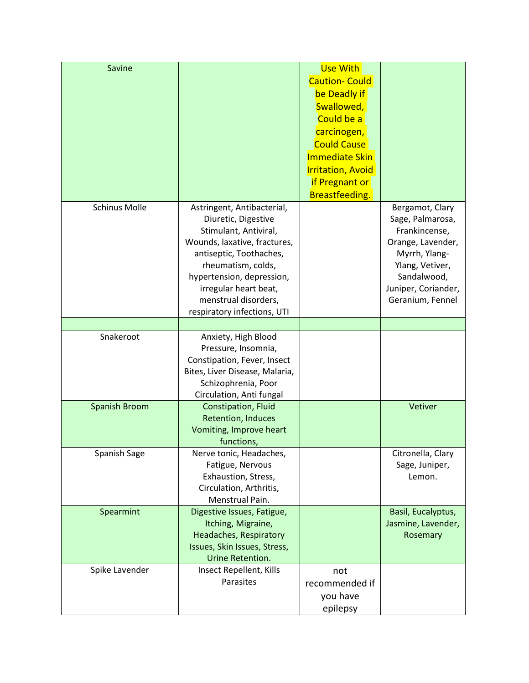| Savine               |                                                   | Use With                 |                     |
|----------------------|---------------------------------------------------|--------------------------|---------------------|
|                      |                                                   | <b>Caution- Could</b>    |                     |
|                      |                                                   | be Deadly if             |                     |
|                      |                                                   | Swallowed,               |                     |
|                      |                                                   | Could be a               |                     |
|                      |                                                   | carcinogen,              |                     |
|                      |                                                   | <b>Could Cause</b>       |                     |
|                      |                                                   | <b>Immediate Skin</b>    |                     |
|                      |                                                   | <b>Irritation, Avoid</b> |                     |
|                      |                                                   | if Pregnant or           |                     |
|                      |                                                   | Breastfeeding.           |                     |
| <b>Schinus Molle</b> |                                                   |                          | Bergamot, Clary     |
|                      | Astringent, Antibacterial,<br>Diuretic, Digestive |                          | Sage, Palmarosa,    |
|                      | Stimulant, Antiviral,                             |                          | Frankincense,       |
|                      | Wounds, laxative, fractures,                      |                          | Orange, Lavender,   |
|                      | antiseptic, Toothaches,                           |                          | Myrrh, Ylang-       |
|                      | rheumatism, colds,                                |                          | Ylang, Vetiver,     |
|                      | hypertension, depression,                         |                          | Sandalwood,         |
|                      | irregular heart beat,                             |                          | Juniper, Coriander, |
|                      | menstrual disorders,                              |                          | Geranium, Fennel    |
|                      | respiratory infections, UTI                       |                          |                     |
|                      |                                                   |                          |                     |
| Snakeroot            | Anxiety, High Blood                               |                          |                     |
|                      | Pressure, Insomnia,                               |                          |                     |
|                      | Constipation, Fever, Insect                       |                          |                     |
|                      | Bites, Liver Disease, Malaria,                    |                          |                     |
|                      | Schizophrenia, Poor                               |                          |                     |
|                      | Circulation, Anti fungal                          |                          |                     |
| <b>Spanish Broom</b> | Constipation, Fluid<br><b>Retention, Induces</b>  |                          | Vetiver             |
|                      | Vomiting, Improve heart                           |                          |                     |
|                      | functions,                                        |                          |                     |
| Spanish Sage         | Nerve tonic, Headaches,                           |                          | Citronella, Clary   |
|                      | Fatigue, Nervous                                  |                          | Sage, Juniper,      |
|                      | Exhaustion, Stress,                               |                          | Lemon.              |
|                      | Circulation, Arthritis,                           |                          |                     |
|                      | Menstrual Pain.                                   |                          |                     |
| Spearmint            | Digestive Issues, Fatigue,                        |                          | Basil, Eucalyptus,  |
|                      | Itching, Migraine,                                |                          | Jasmine, Lavender,  |
|                      | Headaches, Respiratory                            |                          | Rosemary            |
|                      | Issues, Skin Issues, Stress,                      |                          |                     |
|                      | Urine Retention.                                  |                          |                     |
| Spike Lavender       | Insect Repellent, Kills                           | not                      |                     |
|                      | Parasites                                         | recommended if           |                     |
|                      |                                                   | you have                 |                     |
|                      |                                                   | epilepsy                 |                     |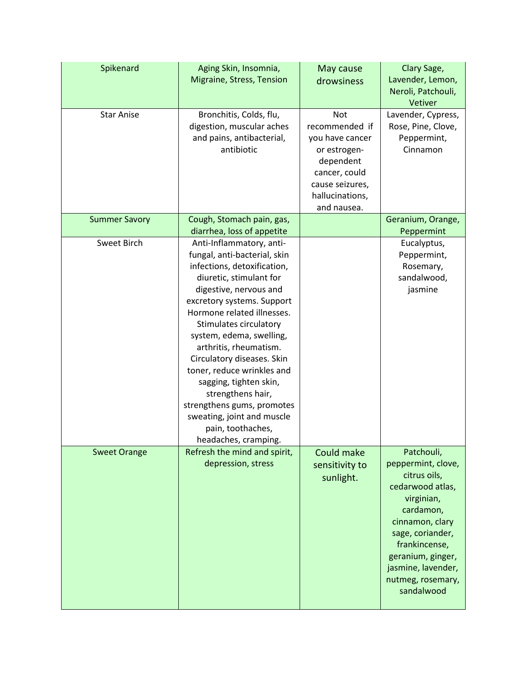| Spikenard            | Aging Skin, Insomnia,<br>Migraine, Stress, Tension                                                                                                                                                                                                                                                                                                                                                                                                                                                           | May cause<br>drowsiness                                                                                                                            | Clary Sage,<br>Lavender, Lemon,<br>Neroli, Patchouli,<br>Vetiver                                                                                                                                                                      |
|----------------------|--------------------------------------------------------------------------------------------------------------------------------------------------------------------------------------------------------------------------------------------------------------------------------------------------------------------------------------------------------------------------------------------------------------------------------------------------------------------------------------------------------------|----------------------------------------------------------------------------------------------------------------------------------------------------|---------------------------------------------------------------------------------------------------------------------------------------------------------------------------------------------------------------------------------------|
| <b>Star Anise</b>    | Bronchitis, Colds, flu,<br>digestion, muscular aches<br>and pains, antibacterial,<br>antibiotic                                                                                                                                                                                                                                                                                                                                                                                                              | <b>Not</b><br>recommended if<br>you have cancer<br>or estrogen-<br>dependent<br>cancer, could<br>cause seizures,<br>hallucinations,<br>and nausea. | Lavender, Cypress,<br>Rose, Pine, Clove,<br>Peppermint,<br>Cinnamon                                                                                                                                                                   |
| <b>Summer Savory</b> | Cough, Stomach pain, gas,<br>diarrhea, loss of appetite                                                                                                                                                                                                                                                                                                                                                                                                                                                      |                                                                                                                                                    | Geranium, Orange,<br>Peppermint                                                                                                                                                                                                       |
| Sweet Birch          | Anti-Inflammatory, anti-<br>fungal, anti-bacterial, skin<br>infections, detoxification,<br>diuretic, stimulant for<br>digestive, nervous and<br>excretory systems. Support<br>Hormone related illnesses.<br>Stimulates circulatory<br>system, edema, swelling,<br>arthritis, rheumatism.<br>Circulatory diseases. Skin<br>toner, reduce wrinkles and<br>sagging, tighten skin,<br>strengthens hair,<br>strengthens gums, promotes<br>sweating, joint and muscle<br>pain, toothaches,<br>headaches, cramping. |                                                                                                                                                    | Eucalyptus,<br>Peppermint,<br>Rosemary,<br>sandalwood,<br>jasmine                                                                                                                                                                     |
| <b>Sweet Orange</b>  | Refresh the mind and spirit,<br>depression, stress                                                                                                                                                                                                                                                                                                                                                                                                                                                           | Could make<br>sensitivity to<br>sunlight.                                                                                                          | Patchouli,<br>peppermint, clove,<br>citrus oils,<br>cedarwood atlas,<br>virginian,<br>cardamon,<br>cinnamon, clary<br>sage, coriander,<br>frankincense,<br>geranium, ginger,<br>jasmine, lavender,<br>nutmeg, rosemary,<br>sandalwood |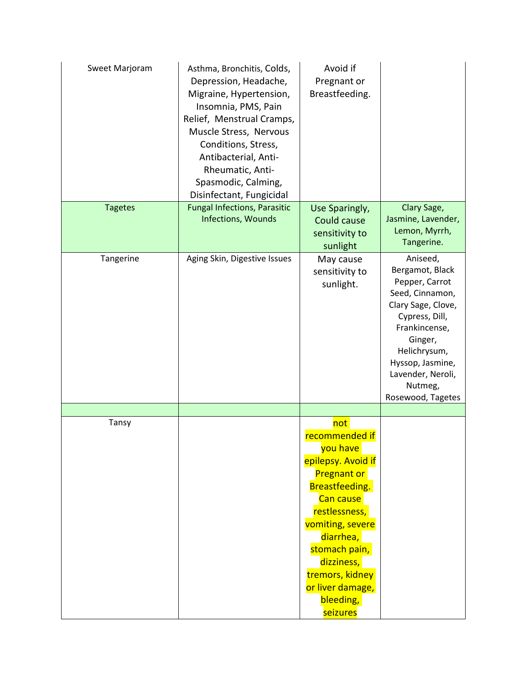| Sweet Marjoram | Asthma, Bronchitis, Colds,<br>Depression, Headache,<br>Migraine, Hypertension,<br>Insomnia, PMS, Pain<br>Relief, Menstrual Cramps,<br>Muscle Stress, Nervous<br>Conditions, Stress,<br>Antibacterial, Anti-<br>Rheumatic, Anti-<br>Spasmodic, Calming,<br>Disinfectant, Fungicidal | Avoid if<br>Pregnant or<br>Breastfeeding.                                                                                                                                                                                                                            |                                                                                                                                                                                                                               |
|----------------|------------------------------------------------------------------------------------------------------------------------------------------------------------------------------------------------------------------------------------------------------------------------------------|----------------------------------------------------------------------------------------------------------------------------------------------------------------------------------------------------------------------------------------------------------------------|-------------------------------------------------------------------------------------------------------------------------------------------------------------------------------------------------------------------------------|
| <b>Tagetes</b> | <b>Fungal Infections, Parasitic</b><br>Infections, Wounds                                                                                                                                                                                                                          | Use Sparingly,<br>Could cause<br>sensitivity to<br>sunlight                                                                                                                                                                                                          | Clary Sage,<br>Jasmine, Lavender,<br>Lemon, Myrrh,<br>Tangerine.                                                                                                                                                              |
| Tangerine      | Aging Skin, Digestive Issues                                                                                                                                                                                                                                                       | May cause<br>sensitivity to<br>sunlight.                                                                                                                                                                                                                             | Aniseed,<br>Bergamot, Black<br>Pepper, Carrot<br>Seed, Cinnamon,<br>Clary Sage, Clove,<br>Cypress, Dill,<br>Frankincense,<br>Ginger,<br>Helichrysum,<br>Hyssop, Jasmine,<br>Lavender, Neroli,<br>Nutmeg,<br>Rosewood, Tagetes |
|                |                                                                                                                                                                                                                                                                                    |                                                                                                                                                                                                                                                                      |                                                                                                                                                                                                                               |
| Tansy          |                                                                                                                                                                                                                                                                                    | not<br>recommended if<br>you have<br>epilepsy. Avoid if<br><b>Pregnant or</b><br><b>Breastfeeding.</b><br>Can cause<br>restlessness,<br>vomiting, severe<br>diarrhea,<br>stomach pain,<br>dizziness,<br>tremors, kidney<br>or liver damage,<br>bleeding,<br>seizures |                                                                                                                                                                                                                               |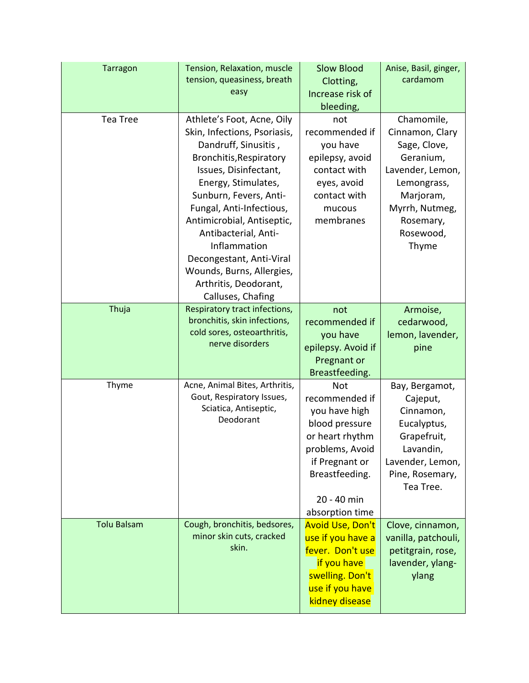| <b>Tarragon</b>    | Tension, Relaxation, muscle<br>tension, queasiness, breath<br>easy                                                                                                                                                                                                                                                                                                                               | <b>Slow Blood</b><br>Clotting,<br>Increase risk of<br>bleeding,                                                                                                             | Anise, Basil, ginger,<br>cardamom                                                                                                                               |
|--------------------|--------------------------------------------------------------------------------------------------------------------------------------------------------------------------------------------------------------------------------------------------------------------------------------------------------------------------------------------------------------------------------------------------|-----------------------------------------------------------------------------------------------------------------------------------------------------------------------------|-----------------------------------------------------------------------------------------------------------------------------------------------------------------|
| <b>Tea Tree</b>    | Athlete's Foot, Acne, Oily<br>Skin, Infections, Psoriasis,<br>Dandruff, Sinusitis,<br>Bronchitis, Respiratory<br>Issues, Disinfectant,<br>Energy, Stimulates,<br>Sunburn, Fevers, Anti-<br>Fungal, Anti-Infectious,<br>Antimicrobial, Antiseptic,<br>Antibacterial, Anti-<br>Inflammation<br>Decongestant, Anti-Viral<br>Wounds, Burns, Allergies,<br>Arthritis, Deodorant,<br>Calluses, Chafing | not<br>recommended if<br>you have<br>epilepsy, avoid<br>contact with<br>eyes, avoid<br>contact with<br>mucous<br>membranes                                                  | Chamomile,<br>Cinnamon, Clary<br>Sage, Clove,<br>Geranium,<br>Lavender, Lemon,<br>Lemongrass,<br>Marjoram,<br>Myrrh, Nutmeg,<br>Rosemary,<br>Rosewood,<br>Thyme |
| Thuja              | Respiratory tract infections,<br>bronchitis, skin infections,<br>cold sores, osteoarthritis,<br>nerve disorders                                                                                                                                                                                                                                                                                  | not<br>recommended if<br>you have<br>epilepsy. Avoid if<br>Pregnant or<br>Breastfeeding.                                                                                    | Armoise,<br>cedarwood,<br>lemon, lavender,<br>pine                                                                                                              |
| Thyme              | Acne, Animal Bites, Arthritis,<br>Gout, Respiratory Issues,<br>Sciatica, Antiseptic,<br>Deodorant                                                                                                                                                                                                                                                                                                | <b>Not</b><br>recommended if<br>you have high<br>blood pressure<br>or heart rhythm<br>problems, Avoid<br>if Pregnant or<br>Breastfeeding.<br>20 - 40 min<br>absorption time | Bay, Bergamot,<br>Cajeput,<br>Cinnamon,<br>Eucalyptus,<br>Grapefruit,<br>Lavandin,<br>Lavender, Lemon,<br>Pine, Rosemary,<br>Tea Tree.                          |
| <b>Tolu Balsam</b> | Cough, bronchitis, bedsores,<br>minor skin cuts, cracked<br>skin.                                                                                                                                                                                                                                                                                                                                | <b>Avoid Use, Don't</b><br>use if you have a<br>fever. Don't use<br>if you have<br>swelling. Don't<br>use if you have<br>kidney disease                                     | Clove, cinnamon,<br>vanilla, patchouli,<br>petitgrain, rose,<br>lavender, ylang-<br>ylang                                                                       |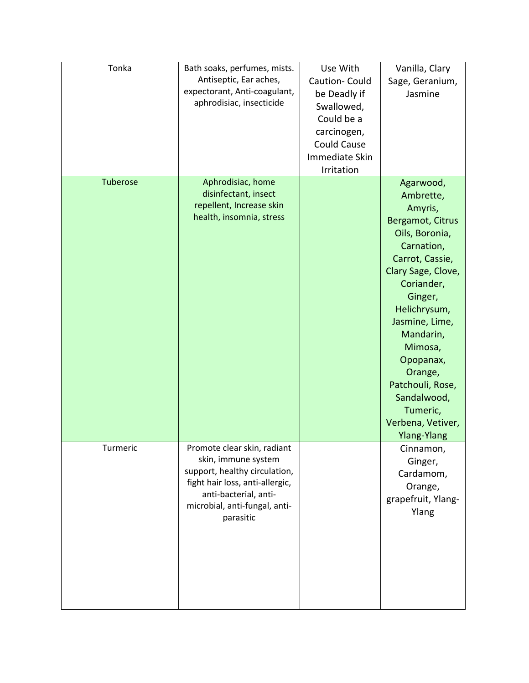| Tonka    | Bath soaks, perfumes, mists.<br>Antiseptic, Ear aches,<br>expectorant, Anti-coagulant,<br>aphrodisiac, insecticide                                                                            | Use With<br>Caution- Could<br>be Deadly if<br>Swallowed,<br>Could be a<br>carcinogen,<br><b>Could Cause</b><br>Immediate Skin<br>Irritation | Vanilla, Clary<br>Sage, Geranium,<br>Jasmine                                                                                                                                                                                                                                                                                        |
|----------|-----------------------------------------------------------------------------------------------------------------------------------------------------------------------------------------------|---------------------------------------------------------------------------------------------------------------------------------------------|-------------------------------------------------------------------------------------------------------------------------------------------------------------------------------------------------------------------------------------------------------------------------------------------------------------------------------------|
| Tuberose | Aphrodisiac, home<br>disinfectant, insect<br>repellent, Increase skin<br>health, insomnia, stress                                                                                             |                                                                                                                                             | Agarwood,<br>Ambrette,<br>Amyris,<br>Bergamot, Citrus<br>Oils, Boronia,<br>Carnation,<br>Carrot, Cassie,<br>Clary Sage, Clove,<br>Coriander,<br>Ginger,<br>Helichrysum,<br>Jasmine, Lime,<br>Mandarin,<br>Mimosa,<br>Opopanax,<br>Orange,<br>Patchouli, Rose,<br>Sandalwood,<br>Tumeric,<br>Verbena, Vetiver,<br><b>Ylang-Ylang</b> |
| Turmeric | Promote clear skin, radiant<br>skin, immune system<br>support, healthy circulation,<br>fight hair loss, anti-allergic,<br>anti-bacterial, anti-<br>microbial, anti-fungal, anti-<br>parasitic |                                                                                                                                             | Cinnamon,<br>Ginger,<br>Cardamom,<br>Orange,<br>grapefruit, Ylang-<br>Ylang                                                                                                                                                                                                                                                         |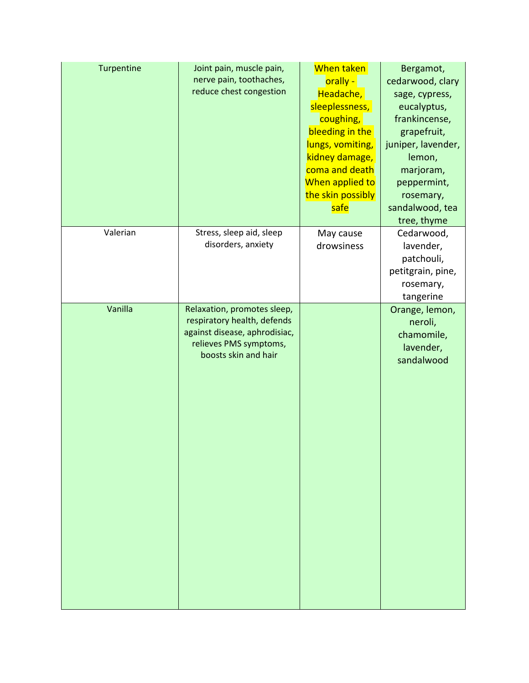| Turpentine | Joint pain, muscle pain,<br>nerve pain, toothaches,<br>reduce chest congestion                                                                | When taken<br>orally -<br>Headache,<br>sleeplessness,<br>coughing,<br>bleeding in the<br>lungs, vomiting,<br>kidney damage,<br>coma and death<br>When applied to<br>the skin possibly<br>safe | Bergamot,<br>cedarwood, clary<br>sage, cypress,<br>eucalyptus,<br>frankincense,<br>grapefruit,<br>juniper, lavender,<br>lemon,<br>marjoram,<br>peppermint,<br>rosemary,<br>sandalwood, tea<br>tree, thyme |
|------------|-----------------------------------------------------------------------------------------------------------------------------------------------|-----------------------------------------------------------------------------------------------------------------------------------------------------------------------------------------------|-----------------------------------------------------------------------------------------------------------------------------------------------------------------------------------------------------------|
| Valerian   | Stress, sleep aid, sleep<br>disorders, anxiety                                                                                                | May cause<br>drowsiness                                                                                                                                                                       | Cedarwood,<br>lavender,<br>patchouli,<br>petitgrain, pine,<br>rosemary,<br>tangerine                                                                                                                      |
| Vanilla    | Relaxation, promotes sleep,<br>respiratory health, defends<br>against disease, aphrodisiac,<br>relieves PMS symptoms,<br>boosts skin and hair |                                                                                                                                                                                               | Orange, lemon,<br>neroli,<br>chamomile,<br>lavender,<br>sandalwood                                                                                                                                        |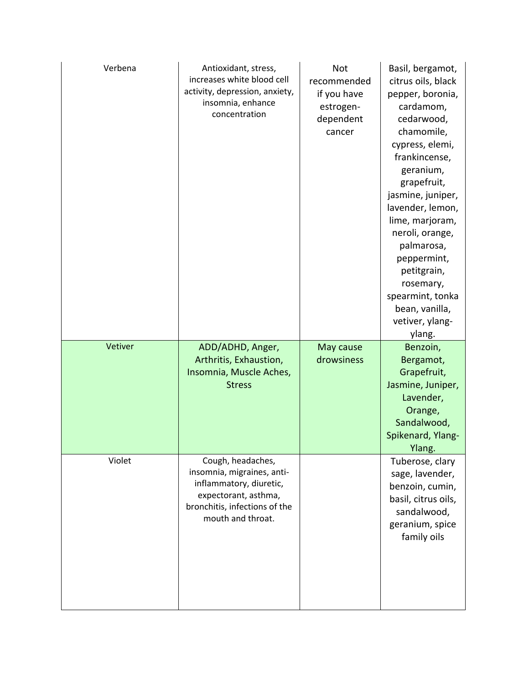| Verbena | Antioxidant, stress,<br>increases white blood cell<br>activity, depression, anxiety,<br>insomnia, enhance<br>concentration                               | <b>Not</b><br>recommended<br>if you have<br>estrogen-<br>dependent<br>cancer | Basil, bergamot,<br>citrus oils, black<br>pepper, boronia,<br>cardamom,<br>cedarwood,<br>chamomile,<br>cypress, elemi,<br>frankincense,<br>geranium,<br>grapefruit,<br>jasmine, juniper,<br>lavender, lemon,<br>lime, marjoram,<br>neroli, orange,<br>palmarosa,<br>peppermint,<br>petitgrain,<br>rosemary,<br>spearmint, tonka<br>bean, vanilla,<br>vetiver, ylang-<br>ylang. |
|---------|----------------------------------------------------------------------------------------------------------------------------------------------------------|------------------------------------------------------------------------------|--------------------------------------------------------------------------------------------------------------------------------------------------------------------------------------------------------------------------------------------------------------------------------------------------------------------------------------------------------------------------------|
| Vetiver | ADD/ADHD, Anger,<br>Arthritis, Exhaustion,<br>Insomnia, Muscle Aches,<br><b>Stress</b>                                                                   | May cause<br>drowsiness                                                      | Benzoin,<br>Bergamot,<br>Grapefruit,<br>Jasmine, Juniper,<br>Lavender,<br>Orange,<br>Sandalwood,<br>Spikenard, Ylang-<br>Ylang.                                                                                                                                                                                                                                                |
| Violet  | Cough, headaches,<br>insomnia, migraines, anti-<br>inflammatory, diuretic,<br>expectorant, asthma,<br>bronchitis, infections of the<br>mouth and throat. |                                                                              | Tuberose, clary<br>sage, lavender,<br>benzoin, cumin,<br>basil, citrus oils,<br>sandalwood,<br>geranium, spice<br>family oils                                                                                                                                                                                                                                                  |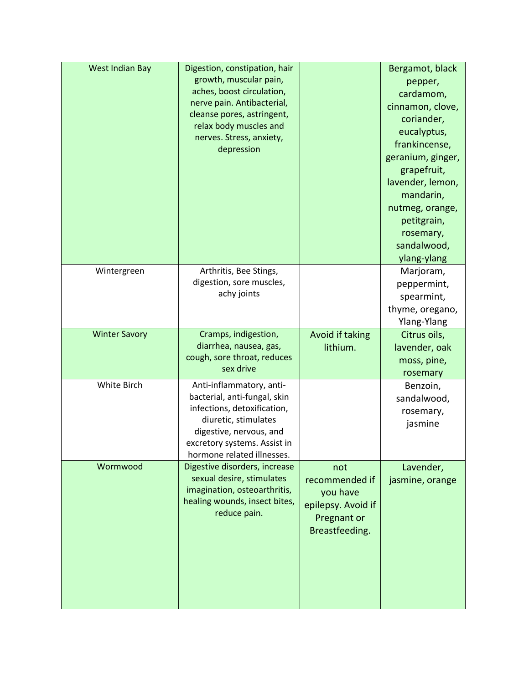| West Indian Bay      | Digestion, constipation, hair<br>growth, muscular pain,<br>aches, boost circulation,<br>nerve pain. Antibacterial,<br>cleanse pores, astringent,<br>relax body muscles and<br>nerves. Stress, anxiety,<br>depression |                                                                                          | Bergamot, black<br>pepper,<br>cardamom,<br>cinnamon, clove,<br>coriander,<br>eucalyptus,<br>frankincense,<br>geranium, ginger,<br>grapefruit,<br>lavender, lemon,<br>mandarin,<br>nutmeg, orange,<br>petitgrain,<br>rosemary,<br>sandalwood,<br>ylang-ylang |
|----------------------|----------------------------------------------------------------------------------------------------------------------------------------------------------------------------------------------------------------------|------------------------------------------------------------------------------------------|-------------------------------------------------------------------------------------------------------------------------------------------------------------------------------------------------------------------------------------------------------------|
| Wintergreen          | Arthritis, Bee Stings,<br>digestion, sore muscles,<br>achy joints                                                                                                                                                    |                                                                                          | Marjoram,<br>peppermint,<br>spearmint,<br>thyme, oregano,<br>Ylang-Ylang                                                                                                                                                                                    |
| <b>Winter Savory</b> | Cramps, indigestion,<br>diarrhea, nausea, gas,<br>cough, sore throat, reduces<br>sex drive                                                                                                                           | Avoid if taking<br>lithium.                                                              | Citrus oils,<br>lavender, oak<br>moss, pine,<br>rosemary                                                                                                                                                                                                    |
| White Birch          | Anti-inflammatory, anti-<br>bacterial, anti-fungal, skin<br>infections, detoxification,<br>diuretic, stimulates<br>digestive, nervous, and<br>excretory systems. Assist in<br>hormone related illnesses.             |                                                                                          | Benzoin,<br>sandalwood,<br>rosemary,<br>jasmine                                                                                                                                                                                                             |
| Wormwood             | Digestive disorders, increase<br>sexual desire, stimulates<br>imagination, osteoarthritis,<br>healing wounds, insect bites,<br>reduce pain.                                                                          | not<br>recommended if<br>you have<br>epilepsy. Avoid if<br>Pregnant or<br>Breastfeeding. | Lavender,<br>jasmine, orange                                                                                                                                                                                                                                |